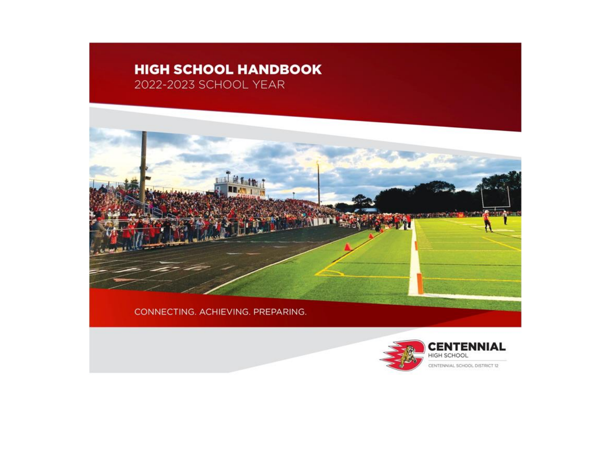# **HIGH SCHOOL HANDBOOK** 2022-2023 SCHOOL YEAR



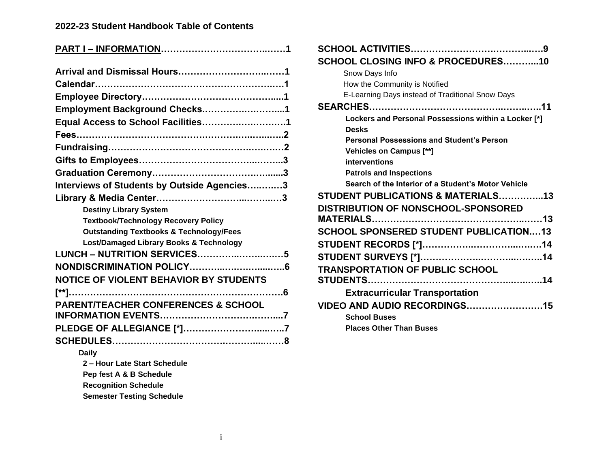### **2022-23 Student Handbook Table of Contents**

| Employment Background Checks1                      |
|----------------------------------------------------|
| Equal Access to School Facilities1                 |
|                                                    |
|                                                    |
|                                                    |
|                                                    |
| Interviews of Students by Outside Agencies3        |
|                                                    |
| <b>Destiny Library System</b>                      |
| <b>Textbook/Technology Recovery Policy</b>         |
| <b>Outstanding Textbooks &amp; Technology/Fees</b> |
| Lost/Damaged Library Books & Technology            |
| <b>LUNCH - NUTRITION SERVICES5</b>                 |
|                                                    |
|                                                    |
| NOTICE OF VIOLENT BEHAVIOR BY STUDENTS             |
|                                                    |
| <b>PARENT/TEACHER CONFERENCES &amp; SCHOOL</b>     |
|                                                    |
| <b>PLEDGE OF ALLEGIANCE [*]7</b>                   |
|                                                    |
| <b>Daily</b>                                       |
| 2 - Hour Late Start Schedule                       |
| Pep fest A & B Schedule                            |
| <b>Recognition Schedule</b>                        |
|                                                    |

**Semester Testing Schedule**

| <b>SCHOOL CLOSING INFO &amp; PROCEDURES10</b>        |
|------------------------------------------------------|
| Snow Days Info                                       |
| How the Community is Notified                        |
| E-Learning Days instead of Traditional Snow Days     |
|                                                      |
| Lockers and Personal Possessions within a Locker [*] |
| <b>Desks</b>                                         |
| <b>Personal Possessions and Student's Person</b>     |
| Vehicles on Campus [**]                              |
| interventions                                        |
| <b>Patrols and Inspections</b>                       |
| Search of the Interior of a Student's Motor Vehicle  |
| <b>STUDENT PUBLICATIONS &amp; MATERIALS13</b>        |
| DISTRIBUTION OF NONSCHOOL-SPONSORED                  |
|                                                      |
| SCHOOL SPONSERED STUDENT PUBLICATION13               |
|                                                      |
|                                                      |
| <b>TRANSPORTATION OF PUBLIC SCHOOL</b>               |
|                                                      |
| <b>Extracurricular Transportation</b>                |
| <b>VIDEO AND AUDIO RECORDINGS15</b>                  |
| <b>School Buses</b>                                  |
| <b>Places Other Than Buses</b>                       |

**SCHOOL ACTIVITIES……………………….………...….9**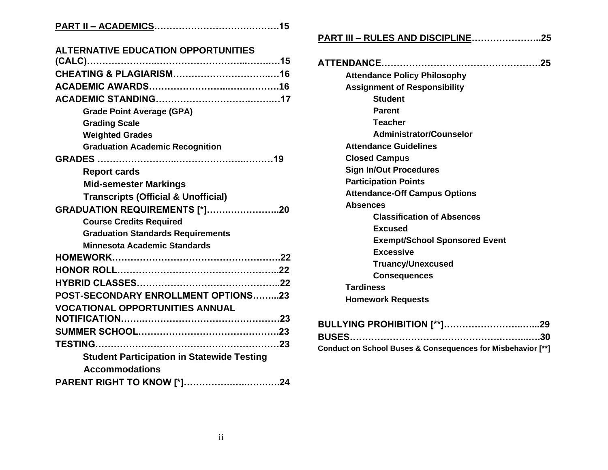|--|

| <b>ALTERNATIVE EDUCATION OPPORTUNITIES</b>        |
|---------------------------------------------------|
|                                                   |
|                                                   |
|                                                   |
|                                                   |
| <b>Grade Point Average (GPA)</b>                  |
| <b>Grading Scale</b>                              |
| <b>Weighted Grades</b>                            |
| <b>Graduation Academic Recognition</b>            |
|                                                   |
| <b>Report cards</b>                               |
| <b>Mid-semester Markings</b>                      |
| <b>Transcripts (Official &amp; Unofficial)</b>    |
| <b>GRADUATION REQUIREMENTS [*]20</b>              |
| <b>Course Credits Required</b>                    |
| <b>Graduation Standards Requirements</b>          |
| <b>Minnesota Academic Standards</b>               |
|                                                   |
|                                                   |
|                                                   |
| POST-SECONDARY ENROLLMENT OPTIONS23               |
| <b>VOCATIONAL OPPORTUNITIES ANNUAL</b>            |
|                                                   |
|                                                   |
|                                                   |
| <b>Student Participation in Statewide Testing</b> |
| <b>Accommodations</b>                             |
| PARENT RIGHT TO KNOW [*]24                        |
|                                                   |

# **PART III – RULES AND DISCIPLINE…………………..25**

| <b>Attendance Policy Philosophy</b>  |
|--------------------------------------|
| <b>Assignment of Responsibility</b>  |
| <b>Student</b>                       |
| <b>Parent</b>                        |
| <b>Teacher</b>                       |
| Administrator/Counselor              |
| <b>Attendance Guidelines</b>         |
| <b>Closed Campus</b>                 |
| <b>Sign In/Out Procedures</b>        |
| <b>Participation Points</b>          |
| <b>Attendance-Off Campus Options</b> |
| <b>Absences</b>                      |
| <b>Classification of Absences</b>    |
| Excused                              |
| <b>Exempt/School Sponsored Event</b> |
| <b>Excessive</b>                     |
| <b>Truancy/Unexcused</b>             |
| <b>Consequences</b>                  |
| <b>Tardiness</b>                     |
| <b>Homework Requests</b>             |

| Conduct on School Buses & Consequences for Misbehavior [**] |  |
|-------------------------------------------------------------|--|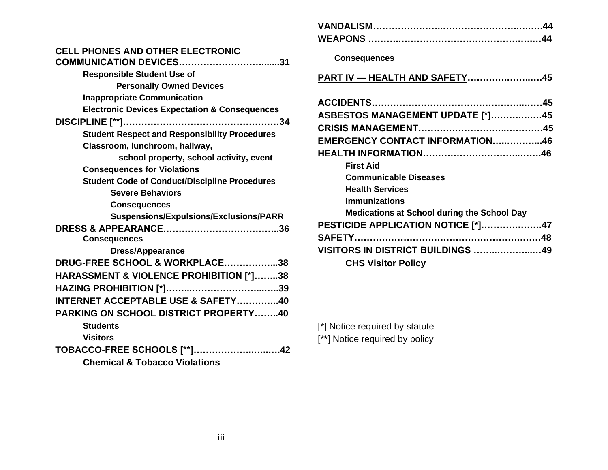# **CELL PHONES AND OTHER ELECTRONIC**

| <b>Responsible Student Use of</b>                        |
|----------------------------------------------------------|
| <b>Personally Owned Devices</b>                          |
| <b>Inappropriate Communication</b>                       |
| <b>Electronic Devices Expectation &amp; Consequences</b> |
|                                                          |
| <b>Student Respect and Responsibility Procedures</b>     |
| Classroom, lunchroom, hallway,                           |
| school property, school activity, event                  |
| <b>Consequences for Violations</b>                       |
| <b>Student Code of Conduct/Discipline Procedures</b>     |
| <b>Severe Behaviors</b>                                  |
| <b>Consequences</b>                                      |
| Suspensions/Expulsions/Exclusions/PARR                   |
|                                                          |
| <b>Consequences</b>                                      |
| <b>Dress/Appearance</b>                                  |
| DRUG-FREE SCHOOL & WORKPLACE38                           |
| HARASSMENT & VIOLENCE PROHIBITION [*]38                  |
|                                                          |
| <b>INTERNET ACCEPTABLE USE &amp; SAFETY40</b>            |
| <b>PARKING ON SCHOOL DISTRICT PROPERTY40</b>             |
| <b>Students</b>                                          |
| <b>Visitors</b>                                          |
| <b>TOBACCO-FREE SCHOOLS [**]42</b>                       |
| <b>Chemical &amp; Tobacco Violations</b>                 |

| <b>Consequences</b>                                |  |
|----------------------------------------------------|--|
| PART IV - HEALTH AND SAFETY45                      |  |
|                                                    |  |
| <b>ASBESTOS MANAGEMENT UPDATE [*]45</b>            |  |
|                                                    |  |
| EMERGENCY CONTACT INFORMATION46                    |  |
|                                                    |  |
| <b>First Aid</b>                                   |  |
| <b>Communicable Diseases</b>                       |  |
| <b>Health Services</b>                             |  |
| <b>Immunizations</b>                               |  |
| <b>Medications at School during the School Day</b> |  |
| PESTICIDE APPLICATION NOTICE [*]47                 |  |
|                                                    |  |
| <b>VISITORS IN DISTRICT BUILDINGS 49</b>           |  |
| <b>CHS Visitor Policy</b>                          |  |
|                                                    |  |

[\*] Notice required by statute [\*\*] Notice required by policy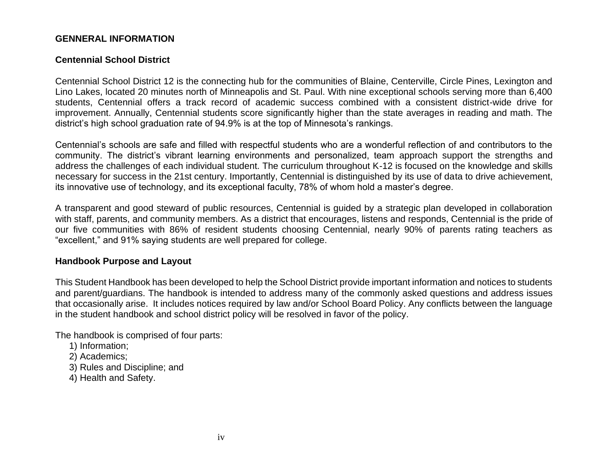#### **GENNERAL INFORMATION**

#### **Centennial School District**

Centennial School District 12 is the connecting hub for the communities of Blaine, Centerville, Circle Pines, Lexington and Lino Lakes, located 20 minutes north of Minneapolis and St. Paul. With nine exceptional schools serving more than 6,400 students, Centennial offers a track record of academic success combined with a consistent district-wide drive for improvement. Annually, Centennial students score significantly higher than the state averages in reading and math. The district's high school graduation rate of 94.9% is at the top of Minnesota's rankings.

Centennial's schools are safe and filled with respectful students who are a wonderful reflection of and contributors to the community. The district's vibrant learning environments and personalized, team approach support the strengths and address the challenges of each individual student. The curriculum throughout K-12 is focused on the knowledge and skills necessary for success in the 21st century. Importantly, Centennial is distinguished by its use of data to drive achievement, its innovative use of technology, and its exceptional faculty, 78% of whom hold a master's degree.

A transparent and good steward of public resources, Centennial is guided by a strategic plan developed in collaboration with staff, parents, and community members. As a district that encourages, listens and responds, Centennial is the pride of our five communities with 86% of resident students choosing Centennial, nearly 90% of parents rating teachers as "excellent," and 91% saying students are well prepared for college.

#### **Handbook Purpose and Layout**

This Student Handbook has been developed to help the School District provide important information and notices to students and parent/guardians. The handbook is intended to address many of the commonly asked questions and address issues that occasionally arise. It includes notices required by law and/or School Board Policy. Any conflicts between the language in the student handbook and school district policy will be resolved in favor of the policy.

The handbook is comprised of four parts:

- 1) Information;
- 2) Academics;
- 3) Rules and Discipline; and
- 4) Health and Safety.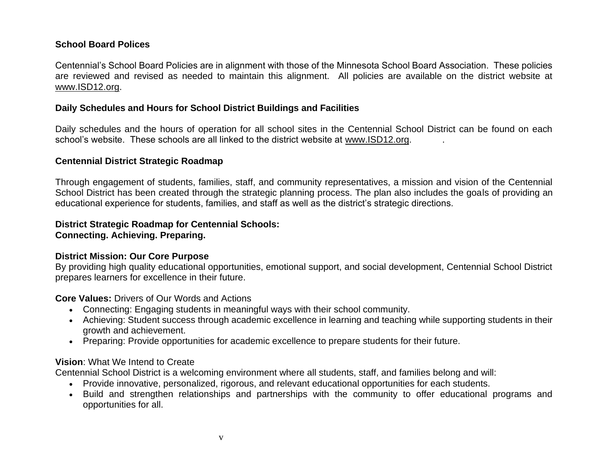### **School Board Polices**

Centennial's School Board Policies are in alignment with those of the Minnesota School Board Association. These policies are reviewed and revised as needed to maintain this alignment. All policies are available on the district website at [www.ISD12.org.](http://www.isd12.org/)

#### **Daily Schedules and Hours for School District Buildings and Facilities**

Daily schedules and the hours of operation for all school sites in the Centennial School District can be found on each school's website. These schools are all linked to the district website at [www.ISD12.org.](http://www.isd12.org/) .

#### **Centennial District Strategic Roadmap**

Through engagement of students, families, staff, and community representatives, a mission and vision of the Centennial School District has been created through the strategic planning process. The plan also includes the goals of providing an educational experience for students, families, and staff as well as the district's strategic directions.

# **District Strategic Roadmap for Centennial Schools:**

**Connecting. Achieving. Preparing.**

#### **District Mission: Our Core Purpose**

By providing high quality educational opportunities, emotional support, and social development, Centennial School District prepares learners for excellence in their future.

**Core Values:** Drivers of Our Words and Actions

- Connecting: Engaging students in meaningful ways with their school community.
- Achieving: Student success through academic excellence in learning and teaching while supporting students in their growth and achievement.
- Preparing: Provide opportunities for academic excellence to prepare students for their future.

#### **Vision**: What We Intend to Create

Centennial School District is a welcoming environment where all students, staff, and families belong and will:

- Provide innovative, personalized, rigorous, and relevant educational opportunities for each students.
- Build and strengthen relationships and partnerships with the community to offer educational programs and opportunities for all.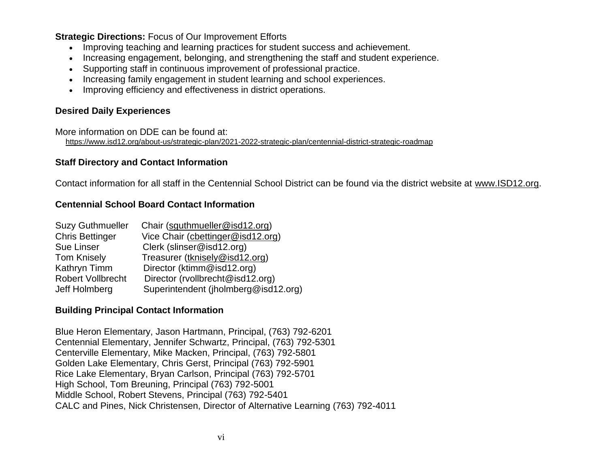**Strategic Directions:** Focus of Our Improvement Efforts

- Improving teaching and learning practices for student success and achievement.
- Increasing engagement, belonging, and strengthening the staff and student experience.
- Supporting staff in continuous improvement of professional practice.
- Increasing family engagement in student learning and school experiences.
- Improving efficiency and effectiveness in district operations.

# **Desired Daily Experiences**

More information on DDE can be found at: <https://www.isd12.org/about-us/strategic-plan/2021-2022-strategic-plan/centennial-district-strategic-roadmap>

### **Staff Directory and Contact Information**

Contact information for all staff in the Centennial School District can be found via the district website at [www.ISD12.org.](http://www.isd12.org/)

### **Centennial School Board Contact Information**

| <b>Suzy Guthmueller</b> | Chair (squthmueller@isd12.org)       |
|-------------------------|--------------------------------------|
| <b>Chris Bettinger</b>  | Vice Chair (cbettinger@isd12.org)    |
| <b>Sue Linser</b>       | Clerk (slinser@isd12.org)            |
| <b>Tom Knisely</b>      | Treasurer (tknisely@isd12.org)       |
| Kathryn Timm            | Director (ktimm@isd12.org)           |
| Robert Vollbrecht       | Director (rvollbrecht@isd12.org)     |
| Jeff Holmberg           | Superintendent (jholmberg@isd12.org) |

#### **Building Principal Contact Information**

Blue Heron Elementary, Jason Hartmann, Principal, (763) 792-6201 Centennial Elementary, Jennifer Schwartz, Principal, (763) 792-5301 Centerville Elementary, Mike Macken, Principal, (763) 792-5801 Golden Lake Elementary, Chris Gerst, Principal (763) 792-5901 Rice Lake Elementary, Bryan Carlson, Principal (763) 792-5701 High School, Tom Breuning, Principal (763) 792-5001 Middle School, Robert Stevens, Principal (763) 792-5401 CALC and Pines, Nick Christensen, Director of Alternative Learning (763) 792-4011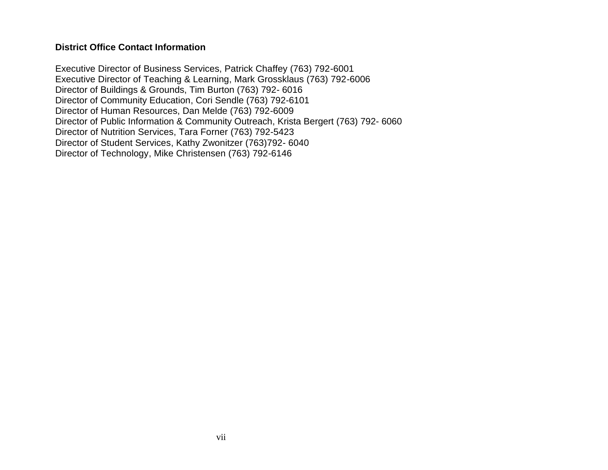#### **District Office Contact Information**

Executive Director of Business Services, Patrick Chaffey (763) 792-6001 Executive Director of Teaching & Learning, Mark Grossklaus (763) 792-6006 Director of Buildings & Grounds, Tim Burton (763) 792- 6016 Director of Community Education, Cori Sendle (763) 792-6101 Director of Human Resources, Dan Melde (763) 792-6009 Director of Public Information & Community Outreach, Krista Bergert (763) 792- 6060 Director of Nutrition Services, Tara Forner (763) 792-5423 Director of Student Services, Kathy Zwonitzer (763)792- 6040 Director of Technology, Mike Christensen (763) 792-6146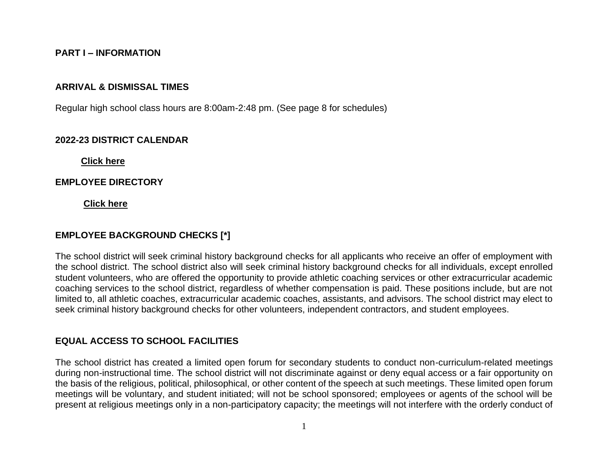#### **PART I – INFORMATION**

#### **ARRIVAL & DISMISSAL TIMES**

Regular high school class hours are 8:00am-2:48 pm. (See page 8 for schedules)

#### **2022-23 DISTRICT CALENDAR**

**[Click here](https://www.isd12.org/sites/default/files/2021-2022_student_calendar_3.pdf)**

#### **EMPLOYEE DIRECTORY**

**[Click here](https://www.isd12.org/staff-list)**

#### **EMPLOYEE BACKGROUND CHECKS [\*]**

The school district will seek criminal history background checks for all applicants who receive an offer of employment with the school district. The school district also will seek criminal history background checks for all individuals, except enrolled student volunteers, who are offered the opportunity to provide athletic coaching services or other extracurricular academic coaching services to the school district, regardless of whether compensation is paid. These positions include, but are not limited to, all athletic coaches, extracurricular academic coaches, assistants, and advisors. The school district may elect to seek criminal history background checks for other volunteers, independent contractors, and student employees.

#### **EQUAL ACCESS TO SCHOOL FACILITIES**

The school district has created a limited open forum for secondary students to conduct non-curriculum-related meetings during non-instructional time. The school district will not discriminate against or deny equal access or a fair opportunity on the basis of the religious, political, philosophical, or other content of the speech at such meetings. These limited open forum meetings will be voluntary, and student initiated; will not be school sponsored; employees or agents of the school will be present at religious meetings only in a non-participatory capacity; the meetings will not interfere with the orderly conduct of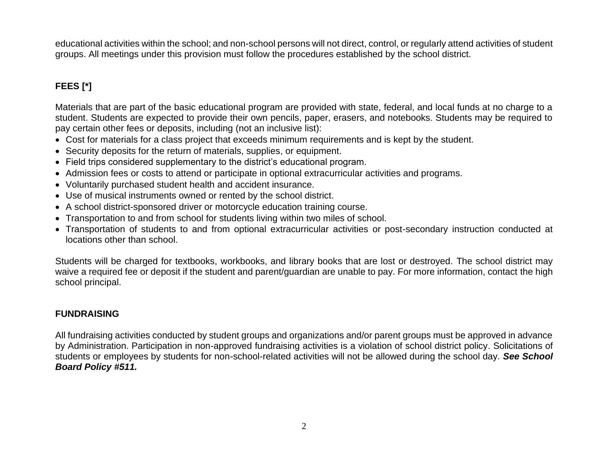educational activities within the school; and non-school persons will not direct, control, or regularly attend activities of student groups. All meetings under this provision must follow the procedures established by the school district.

# **FEES [\*]**

Materials that are part of the basic educational program are provided with state, federal, and local funds at no charge to a student. Students are expected to provide their own pencils, paper, erasers, and notebooks. Students may be required to pay certain other fees or deposits, including (not an inclusive list):

- Cost for materials for a class project that exceeds minimum requirements and is kept by the student.
- Security deposits for the return of materials, supplies, or equipment.
- Field trips considered supplementary to the district's educational program.
- Admission fees or costs to attend or participate in optional extracurricular activities and programs.
- Voluntarily purchased student health and accident insurance.
- Use of musical instruments owned or rented by the school district.
- A school district-sponsored driver or motorcycle education training course.
- Transportation to and from school for students living within two miles of school.
- Transportation of students to and from optional extracurricular activities or post-secondary instruction conducted at locations other than school.

Students will be charged for textbooks, workbooks, and library books that are lost or destroyed. The school district may waive a required fee or deposit if the student and parent/guardian are unable to pay. For more information, contact the high school principal.

### **FUNDRAISING**

All fundraising activities conducted by student groups and organizations and/or parent groups must be approved in advance by Administration. Participation in non-approved fundraising activities is a violation of school district policy. Solicitations of students or employees by students for non-school-related activities will not be allowed during the school day. *See School Board Policy #511.*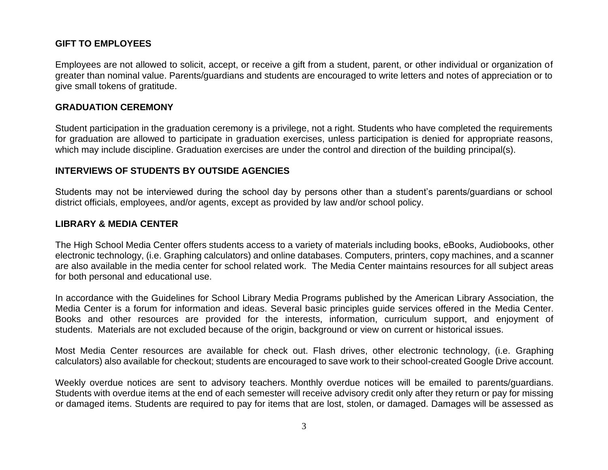### **GIFT TO EMPLOYEES**

Employees are not allowed to solicit, accept, or receive a gift from a student, parent, or other individual or organization of greater than nominal value. Parents/guardians and students are encouraged to write letters and notes of appreciation or to give small tokens of gratitude.

#### **GRADUATION CEREMONY**

Student participation in the graduation ceremony is a privilege, not a right. Students who have completed the requirements for graduation are allowed to participate in graduation exercises, unless participation is denied for appropriate reasons, which may include discipline. Graduation exercises are under the control and direction of the building principal(s).

#### **INTERVIEWS OF STUDENTS BY OUTSIDE AGENCIES**

Students may not be interviewed during the school day by persons other than a student's parents/guardians or school district officials, employees, and/or agents, except as provided by law and/or school policy.

#### **LIBRARY & MEDIA CENTER**

The High School Media Center offers students access to a variety of materials including books, eBooks, Audiobooks, other electronic technology, (i.e. Graphing calculators) and online databases. Computers, printers, copy machines, and a scanner are also available in the media center for school related work. The Media Center maintains resources for all subject areas for both personal and educational use.

In accordance with the Guidelines for School Library Media Programs published by the American Library Association, the Media Center is a forum for information and ideas. Several basic principles guide services offered in the Media Center. Books and other resources are provided for the interests, information, curriculum support, and enjoyment of students. Materials are not excluded because of the origin, background or view on current or historical issues.

Most Media Center resources are available for check out. Flash drives, other electronic technology, (i.e. Graphing calculators) also available for checkout; students are encouraged to save work to their school-created Google Drive account.

Weekly overdue notices are sent to advisory teachers. Monthly overdue notices will be emailed to parents/guardians. Students with overdue items at the end of each semester will receive advisory credit only after they return or pay for missing or damaged items. Students are required to pay for items that are lost, stolen, or damaged. Damages will be assessed as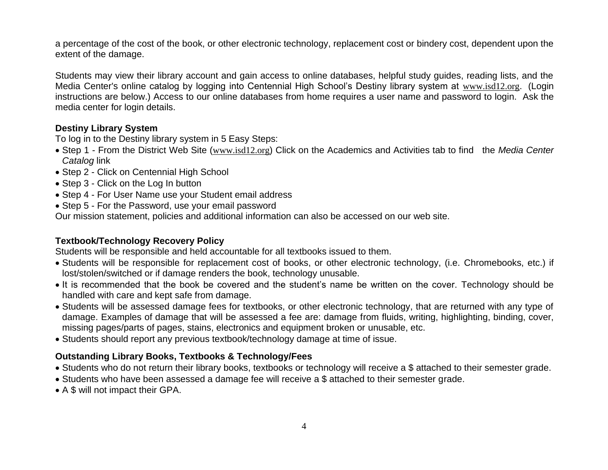a percentage of the cost of the book, or other electronic technology, replacement cost or bindery cost, dependent upon the extent of the damage.

Students may view their library account and gain access to online databases, helpful study guides, reading lists, and the Media Center's online catalog by logging into Centennial High School's Destiny library system at [www.isd12.org](http://www.isd12.org/). (Login instructions are below.) Access to our online databases from home requires a user name and password to login. Ask the media center for login details.

## **Destiny Library System**

To log in to the Destiny library system in 5 Easy Steps:

- Step 1 From the District Web Site ([www.isd12.org](http://www.isd12.org/)) Click on the Academics and Activities tab to find the *Media Center Catalog* link
- Step 2 Click on Centennial High School
- Step 3 Click on the Log In button
- Step 4 For User Name use your Student email address
- Step 5 For the Password, use your email password

Our mission statement, policies and additional information can also be accessed on our web site.

# **Textbook/Technology Recovery Policy**

Students will be responsible and held accountable for all textbooks issued to them.

- Students will be responsible for replacement cost of books, or other electronic technology, (i.e. Chromebooks, etc.) if lost/stolen/switched or if damage renders the book, technology unusable.
- It is recommended that the book be covered and the student's name be written on the cover. Technology should be handled with care and kept safe from damage.
- Students will be assessed damage fees for textbooks, or other electronic technology, that are returned with any type of damage. Examples of damage that will be assessed a fee are: damage from fluids, writing, highlighting, binding, cover, missing pages/parts of pages, stains, electronics and equipment broken or unusable, etc.
- Students should report any previous textbook/technology damage at time of issue.

# **Outstanding Library Books, Textbooks & Technology/Fees**

- Students who do not return their library books, textbooks or technology will receive a \$ attached to their semester grade.
- Students who have been assessed a damage fee will receive a \$ attached to their semester grade.
- A \$ will not impact their GPA.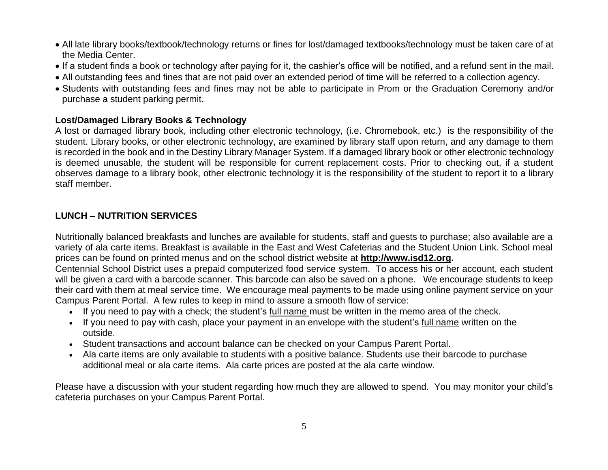- All late library books/textbook/technology returns or fines for lost/damaged textbooks/technology must be taken care of at the Media Center.
- If a student finds a book or technology after paying for it, the cashier's office will be notified, and a refund sent in the mail.
- All outstanding fees and fines that are not paid over an extended period of time will be referred to a collection agency.
- Students with outstanding fees and fines may not be able to participate in Prom or the Graduation Ceremony and/or purchase a student parking permit.

### **Lost/Damaged Library Books & Technology**

A lost or damaged library book, including other electronic technology, (i.e. Chromebook, etc.) is the responsibility of the student. Library books, or other electronic technology, are examined by library staff upon return, and any damage to them is recorded in the book and in the Destiny Library Manager System. If a damaged library book or other electronic technology is deemed unusable, the student will be responsible for current replacement costs. Prior to checking out, if a student observes damage to a library book, other electronic technology it is the responsibility of the student to report it to a library staff member.

# **LUNCH – NUTRITION SERVICES**

Nutritionally balanced breakfasts and lunches are available for students, staff and guests to purchase; also available are a variety of ala carte items. Breakfast is available in the East and West Cafeterias and the Student Union Link. School meal prices can be found on printed menus and on the school district website at **[http://www.isd12.org.](http://www.isd12.org/)**

Centennial School District uses a prepaid computerized food service system. To access his or her account, each student will be given a card with a barcode scanner. This barcode can also be saved on a phone. We encourage students to keep their card with them at meal service time. We encourage meal payments to be made using online payment service on your Campus Parent Portal. A few rules to keep in mind to assure a smooth flow of service:

- If you need to pay with a check; the student's full name must be written in the memo area of the check.
- If you need to pay with cash, place your payment in an envelope with the student's full name written on the outside.
- Student transactions and account balance can be checked on your Campus Parent Portal.
- Ala carte items are only available to students with a positive balance. Students use their barcode to purchase additional meal or ala carte items. Ala carte prices are posted at the ala carte window.

Please have a discussion with your student regarding how much they are allowed to spend. You may monitor your child's cafeteria purchases on your Campus Parent Portal.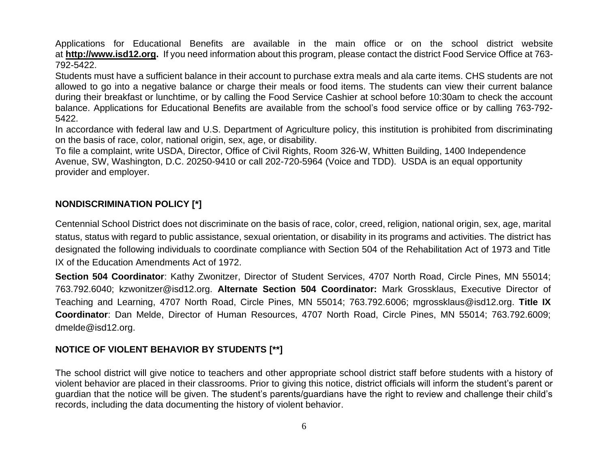Applications for Educational Benefits are available in the main office or on the school district website at **[http://www.isd12.org.](http://www.isd12.org/)** If you need information about this program, please contact the district Food Service Office at 763- 792-5422.

Students must have a sufficient balance in their account to purchase extra meals and ala carte items. CHS students are not allowed to go into a negative balance or charge their meals or food items. The students can view their current balance during their breakfast or lunchtime, or by calling the Food Service Cashier at school before 10:30am to check the account balance. Applications for Educational Benefits are available from the school's food service office or by calling 763-792- 5422.

In accordance with federal law and U.S. Department of Agriculture policy, this institution is prohibited from discriminating on the basis of race, color, national origin, sex, age, or disability.

To file a complaint, write USDA, Director, Office of Civil Rights, Room 326-W, Whitten Building, 1400 Independence Avenue, SW, Washington, D.C. 20250-9410 or call 202-720-5964 (Voice and TDD). USDA is an equal opportunity provider and employer.

# **NONDISCRIMINATION POLICY [\*]**

Centennial School District does not discriminate on the basis of race, color, creed, religion, national origin, sex, age, marital status, status with regard to public assistance, sexual orientation, or disability in its programs and activities. The district has designated the following individuals to coordinate compliance with Section 504 of the Rehabilitation Act of 1973 and Title IX of the Education Amendments Act of 1972.

**Section 504 Coordinator**: Kathy Zwonitzer, Director of Student Services, 4707 North Road, Circle Pines, MN 55014; 763.792.6040; kzwonitzer@isd12.org. **Alternate Section 504 Coordinator:** Mark Grossklaus, Executive Director of Teaching and Learning, 4707 North Road, Circle Pines, MN 55014; 763.792.6006; mgrossklaus@isd12.org. **Title IX Coordinator**: Dan Melde, Director of Human Resources, 4707 North Road, Circle Pines, MN 55014; 763.792.6009; dmelde@isd12.org.

# **NOTICE OF VIOLENT BEHAVIOR BY STUDENTS [\*\*]**

The school district will give notice to teachers and other appropriate school district staff before students with a history of violent behavior are placed in their classrooms. Prior to giving this notice, district officials will inform the student's parent or guardian that the notice will be given. The student's parents/guardians have the right to review and challenge their child's records, including the data documenting the history of violent behavior.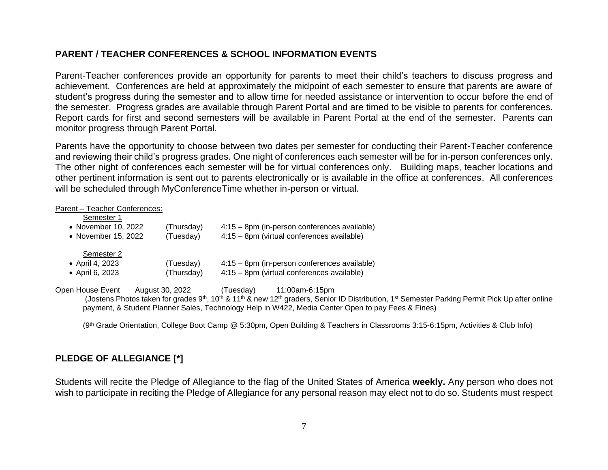### **PARENT / TEACHER CONFERENCES & SCHOOL INFORMATION EVENTS**

Parent-Teacher conferences provide an opportunity for parents to meet their child's teachers to discuss progress and achievement. Conferences are held at approximately the midpoint of each semester to ensure that parents are aware of student's progress during the semester and to allow time for needed assistance or intervention to occur before the end of the semester. Progress grades are available through Parent Portal and are timed to be visible to parents for conferences. Report cards for first and second semesters will be available in Parent Portal at the end of the semester. Parents can monitor progress through Parent Portal.

Parents have the opportunity to choose between two dates per semester for conducting their Parent-Teacher conference and reviewing their child's progress grades. One night of conferences each semester will be for in-person conferences only. The other night of conferences each semester will be for virtual conferences only. Building maps, teacher locations and other pertinent information is sent out to parents electronically or is available in the office at conferences. All conferences will be scheduled through MyConferenceTime whether in-person or virtual.

#### Parent – Teacher Conferences:

| Semester 1          |                 |                                              |
|---------------------|-----------------|----------------------------------------------|
| • November 10, 2022 | (Thursday)      | 4:15 - 8pm (in-person conferences available) |
| • November 15, 2022 | (Tuesday)       | 4:15 - 8pm (virtual conferences available)   |
| Semester 2          |                 |                                              |
| • April 4, 2023     | (Tuesday)       | 4:15 - 8pm (in-person conferences available) |
| • April 6, 2023     | (Thursday)      | 4:15 - 8pm (virtual conferences available)   |
|                     |                 |                                              |
| Open House Event    | August 30, 2022 | Tuesdav)<br>11:00am-6:15pm                   |

(Jostens Photos taken for grades 9<sup>th</sup>, 10<sup>th</sup> & 11<sup>th</sup> & new 12<sup>th</sup> graders, Senior ID Distribution, 1<sup>st</sup> Semester Parking Permit Pick Up after online payment, & Student Planner Sales, Technology Help in W422, Media Center Open to pay Fees & Fines)

(9th Grade Orientation, College Boot Camp @ 5:30pm, Open Building & Teachers in Classrooms 3:15-6:15pm, Activities & Club Info)

### **PLEDGE OF ALLEGIANCE [\*]**

Students will recite the Pledge of Allegiance to the flag of the United States of America **weekly.** Any person who does not wish to participate in reciting the Pledge of Allegiance for any personal reason may elect not to do so. Students must respect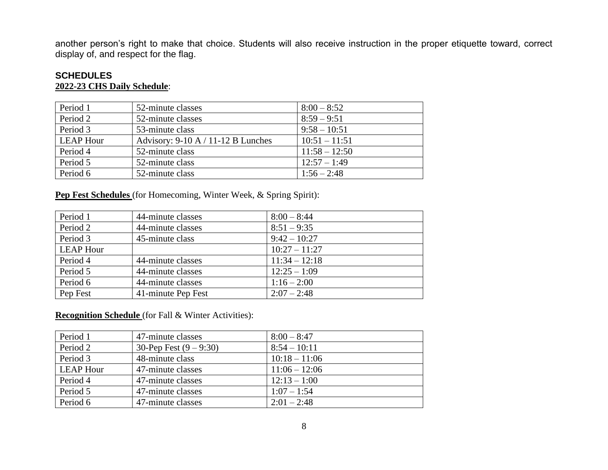another person's right to make that choice. Students will also receive instruction in the proper etiquette toward, correct display of, and respect for the flag.

### **SCHEDULES 2022-23 CHS Daily Schedule**:

| Period 1         | 52-minute classes                    | $8:00 - 8:52$   |
|------------------|--------------------------------------|-----------------|
| Period 2         | 52-minute classes                    | $8:59 - 9:51$   |
| Period 3         | 53-minute class                      | $9:58 - 10:51$  |
| <b>LEAP Hour</b> | Advisory: $9-10$ A / 11-12 B Lunches | $10:51 - 11:51$ |
| Period 4         | 52-minute class                      | $11:58 - 12:50$ |
| Period 5         | 52-minute class                      | $12:57 - 1:49$  |
| Period 6         | 52-minute class                      | $1:56 - 2:48$   |

**Pep Fest Schedules** (for Homecoming, Winter Week, & Spring Spirit):

| Period 1         | 44-minute classes  | $8:00 - 8:44$   |
|------------------|--------------------|-----------------|
| Period 2         | 44-minute classes  | $8:51 - 9:35$   |
| Period 3         | 45-minute class    | $9:42 - 10:27$  |
| <b>LEAP Hour</b> |                    | $10:27 - 11:27$ |
| Period 4         | 44-minute classes  | $11:34 - 12:18$ |
| Period 5         | 44-minute classes  | $12:25 - 1:09$  |
| Period 6         | 44-minute classes  | $1:16 - 2:00$   |
| Pep Fest         | 41-minute Pep Fest | $2:07 - 2:48$   |

**Recognition Schedule** (for Fall & Winter Activities):

| Period 1         | 47-minute classes        | $8:00 - 8:47$   |
|------------------|--------------------------|-----------------|
| Period 2         | 30-Pep Fest $(9 - 9:30)$ | $8:54 - 10:11$  |
| Period 3         | 48-minute class          | $10:18 - 11:06$ |
| <b>LEAP Hour</b> | 47-minute classes        | $11:06 - 12:06$ |
| Period 4         | 47-minute classes        | $12:13 - 1:00$  |
| Period 5         | 47-minute classes        | $1:07 - 1:54$   |
| Period 6         | 47-minute classes        | $2:01 - 2:48$   |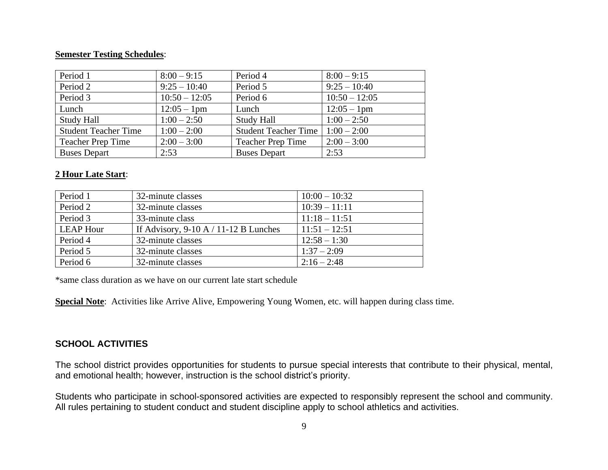#### **Semester Testing Schedules**:

| Period 1                    | $8:00 - 9:15$   | Period 4                    | $8:00 - 9:15$   |
|-----------------------------|-----------------|-----------------------------|-----------------|
| Period 2                    | $9:25 - 10:40$  | Period 5                    | $9:25 - 10:40$  |
| Period 3                    | $10:50 - 12:05$ | Period 6                    | $10:50 - 12:05$ |
| Lunch                       | $12:05 - 1$ pm  | Lunch                       | $12:05 - 1$ pm  |
| <b>Study Hall</b>           | $1:00 - 2:50$   | <b>Study Hall</b>           | $1:00 - 2:50$   |
| <b>Student Teacher Time</b> | $1:00 - 2:00$   | <b>Student Teacher Time</b> | $1:00 - 2:00$   |
| <b>Teacher Prep Time</b>    | $2:00 - 3:00$   | <b>Teacher Prep Time</b>    | $2:00 - 3:00$   |
| <b>Buses Depart</b>         | 2:53            | <b>Buses Depart</b>         | 2:53            |

#### **2 Hour Late Start**:

| Period 1         | 32-minute classes                       | $10:00 - 10:32$ |
|------------------|-----------------------------------------|-----------------|
| Period 2         | 32-minute classes                       | $10:39 - 11:11$ |
| Period 3         | 33-minute class                         | $11:18 - 11:51$ |
| <b>LEAP Hour</b> | If Advisory, $9-10$ A / 11-12 B Lunches | $11:51 - 12:51$ |
| Period 4         | 32-minute classes                       | $12:58 - 1:30$  |
| Period 5         | 32-minute classes                       | $1:37 - 2:09$   |
| Period 6         | 32-minute classes                       | $2:16 - 2:48$   |

\*same class duration as we have on our current late start schedule

**Special Note**: Activities like Arrive Alive, Empowering Young Women, etc. will happen during class time.

### **SCHOOL ACTIVITIES**

The school district provides opportunities for students to pursue special interests that contribute to their physical, mental, and emotional health; however, instruction is the school district's priority.

Students who participate in school-sponsored activities are expected to responsibly represent the school and community. All rules pertaining to student conduct and student discipline apply to school athletics and activities.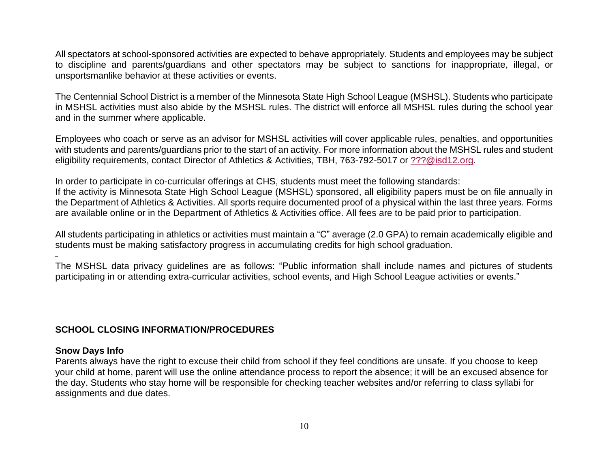All spectators at school-sponsored activities are expected to behave appropriately. Students and employees may be subject to discipline and parents/guardians and other spectators may be subject to sanctions for inappropriate, illegal, or unsportsmanlike behavior at these activities or events.

The Centennial School District is a member of the Minnesota State High School League (MSHSL). Students who participate in MSHSL activities must also abide by the MSHSL rules. The district will enforce all MSHSL rules during the school year and in the summer where applicable.

Employees who coach or serve as an advisor for MSHSL activities will cover applicable rules, penalties, and opportunities with students and parents/guardians prior to the start of an activity. For more information about the MSHSL rules and student eligibility requirements, contact Director of Athletics & Activities, TBH, 763-792-5017 or [???@isd12.org.](mailto:???@isd12.org)

In order to participate in co-curricular offerings at CHS, students must meet the following standards:

If the activity is Minnesota State High School League (MSHSL) sponsored, all eligibility papers must be on file annually in the Department of Athletics & Activities. All sports require documented proof of a physical within the last three years. Forms are available online or in the Department of Athletics & Activities office. All fees are to be paid prior to participation.

All students participating in athletics or activities must maintain a "C" average (2.0 GPA) to remain academically eligible and students must be making satisfactory progress in accumulating credits for high school graduation.

The MSHSL data privacy guidelines are as follows: "Public information shall include names and pictures of students participating in or attending extra-curricular activities, school events, and High School League activities or events."

#### **SCHOOL CLOSING INFORMATION/PROCEDURES**

#### **Snow Days Info**

Parents always have the right to excuse their child from school if they feel conditions are unsafe. If you choose to keep your child at home, parent will use the online attendance process to report the absence; it will be an excused absence for the day. Students who stay home will be responsible for checking teacher websites and/or referring to class syllabi for assignments and due dates.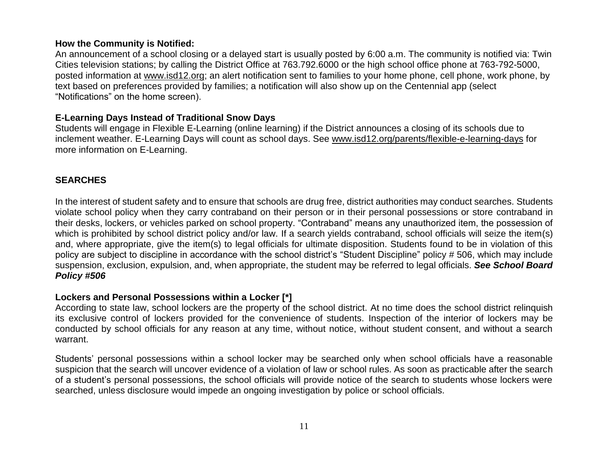#### **How the Community is Notified:**

An announcement of a school closing or a delayed start is usually posted by 6:00 a.m. The community is notified via: Twin Cities television stations; by calling the District Office at 763.792.6000 or the high school office phone at 763-792-5000, posted information at [www.isd12.org;](http://www.isd12.org/) an alert notification sent to families to your home phone, cell phone, work phone, by text based on preferences provided by families; a notification will also show up on the Centennial app (select "Notifications" on the home screen).

### **E-Learning Days Instead of Traditional Snow Days**

Students will engage in Flexible E-Learning (online learning) if the District announces a closing of its schools due to inclement weather. E-Learning Days will count as school days. See [www.isd12.org/parents/flexible-e-learning-days](http://www.isd12.org/parents/flexible-e-learning-days) for more information on E-Learning.

### **SEARCHES**

In the interest of student safety and to ensure that schools are drug free, district authorities may conduct searches. Students violate school policy when they carry contraband on their person or in their personal possessions or store contraband in their desks, lockers, or vehicles parked on school property. "Contraband" means any unauthorized item, the possession of which is prohibited by school district policy and/or law. If a search yields contraband, school officials will seize the item(s) and, where appropriate, give the item(s) to legal officials for ultimate disposition. Students found to be in violation of this policy are subject to discipline in accordance with the school district's "Student Discipline" policy # 506, which may include suspension, exclusion, expulsion, and, when appropriate, the student may be referred to legal officials. *See School Board Policy #506*

#### **Lockers and Personal Possessions within a Locker [\*]**

According to state law, school lockers are the property of the school district. At no time does the school district relinquish its exclusive control of lockers provided for the convenience of students. Inspection of the interior of lockers may be conducted by school officials for any reason at any time, without notice, without student consent, and without a search warrant.

Students' personal possessions within a school locker may be searched only when school officials have a reasonable suspicion that the search will uncover evidence of a violation of law or school rules. As soon as practicable after the search of a student's personal possessions, the school officials will provide notice of the search to students whose lockers were searched, unless disclosure would impede an ongoing investigation by police or school officials.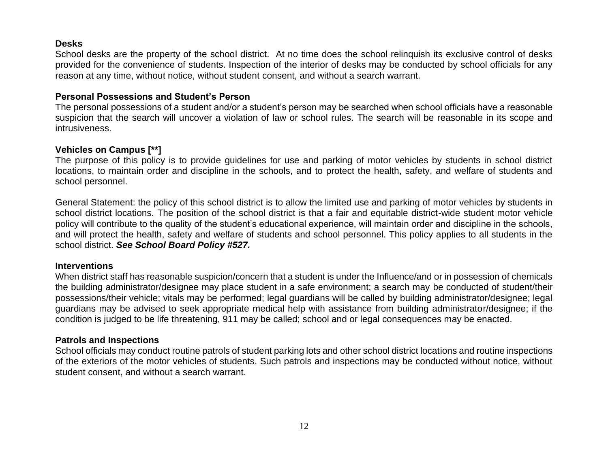#### **Desks**

School desks are the property of the school district. At no time does the school relinquish its exclusive control of desks provided for the convenience of students. Inspection of the interior of desks may be conducted by school officials for any reason at any time, without notice, without student consent, and without a search warrant.

#### **Personal Possessions and Student's Person**

The personal possessions of a student and/or a student's person may be searched when school officials have a reasonable suspicion that the search will uncover a violation of law or school rules. The search will be reasonable in its scope and intrusiveness.

#### **Vehicles on Campus [\*\*]**

The purpose of this policy is to provide guidelines for use and parking of motor vehicles by students in school district locations, to maintain order and discipline in the schools, and to protect the health, safety, and welfare of students and school personnel.

General Statement: the policy of this school district is to allow the limited use and parking of motor vehicles by students in school district locations. The position of the school district is that a fair and equitable district-wide student motor vehicle policy will contribute to the quality of the student's educational experience, will maintain order and discipline in the schools, and will protect the health, safety and welfare of students and school personnel. This policy applies to all students in the school district. *See School Board Policy #527.*

#### **Interventions**

When district staff has reasonable suspicion/concern that a student is under the Influence/and or in possession of chemicals the building administrator/designee may place student in a safe environment; a search may be conducted of student/their possessions/their vehicle; vitals may be performed; legal guardians will be called by building administrator/designee; legal guardians may be advised to seek appropriate medical help with assistance from building administrator/designee; if the condition is judged to be life threatening, 911 may be called; school and or legal consequences may be enacted.

#### **Patrols and Inspections**

School officials may conduct routine patrols of student parking lots and other school district locations and routine inspections of the exteriors of the motor vehicles of students. Such patrols and inspections may be conducted without notice, without student consent, and without a search warrant.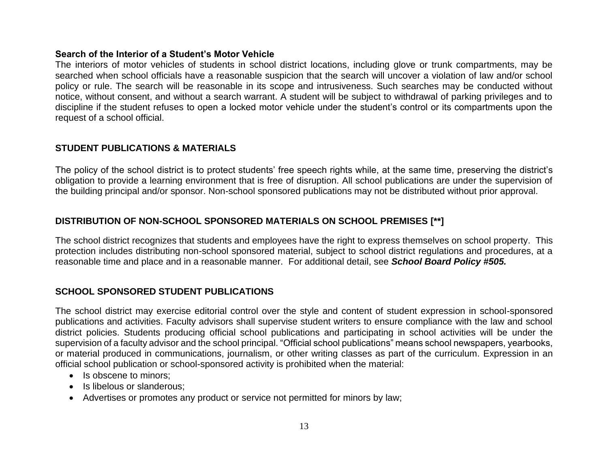#### **Search of the Interior of a Student's Motor Vehicle**

The interiors of motor vehicles of students in school district locations, including glove or trunk compartments, may be searched when school officials have a reasonable suspicion that the search will uncover a violation of law and/or school policy or rule. The search will be reasonable in its scope and intrusiveness. Such searches may be conducted without notice, without consent, and without a search warrant. A student will be subject to withdrawal of parking privileges and to discipline if the student refuses to open a locked motor vehicle under the student's control or its compartments upon the request of a school official.

### **STUDENT PUBLICATIONS & MATERIALS**

The policy of the school district is to protect students' free speech rights while, at the same time, preserving the district's obligation to provide a learning environment that is free of disruption. All school publications are under the supervision of the building principal and/or sponsor. Non-school sponsored publications may not be distributed without prior approval.

### **DISTRIBUTION OF NON-SCHOOL SPONSORED MATERIALS ON SCHOOL PREMISES [\*\*]**

The school district recognizes that students and employees have the right to express themselves on school property. This protection includes distributing non-school sponsored material, subject to school district regulations and procedures, at a reasonable time and place and in a reasonable manner. For additional detail, see *School Board Policy #505.* 

# **SCHOOL SPONSORED STUDENT PUBLICATIONS**

The school district may exercise editorial control over the style and content of student expression in school-sponsored publications and activities. Faculty advisors shall supervise student writers to ensure compliance with the law and school district policies. Students producing official school publications and participating in school activities will be under the supervision of a faculty advisor and the school principal. "Official school publications" means school newspapers, yearbooks, or material produced in communications, journalism, or other writing classes as part of the curriculum. Expression in an official school publication or school-sponsored activity is prohibited when the material:

- Is obscene to minors;
- Is libelous or slanderous:
- Advertises or promotes any product or service not permitted for minors by law;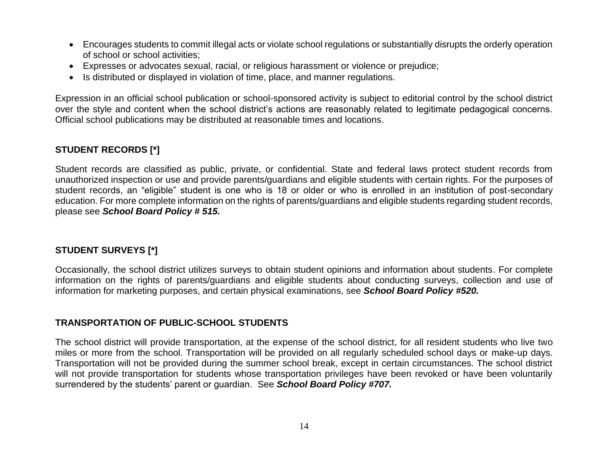- Encourages students to commit illegal acts or violate school regulations or substantially disrupts the orderly operation of school or school activities;
- Expresses or advocates sexual, racial, or religious harassment or violence or prejudice;
- Is distributed or displayed in violation of time, place, and manner regulations.

Expression in an official school publication or school-sponsored activity is subject to editorial control by the school district over the style and content when the school district's actions are reasonably related to legitimate pedagogical concerns. Official school publications may be distributed at reasonable times and locations.

### **STUDENT RECORDS [\*]**

Student records are classified as public, private, or confidential. State and federal laws protect student records from unauthorized inspection or use and provide parents/guardians and eligible students with certain rights. For the purposes of student records, an "eligible" student is one who is 18 or older or who is enrolled in an institution of post-secondary education. For more complete information on the rights of parents/guardians and eligible students regarding student records, please see *School Board Policy # 515.*

# **STUDENT SURVEYS [\*]**

Occasionally, the school district utilizes surveys to obtain student opinions and information about students. For complete information on the rights of parents/guardians and eligible students about conducting surveys, collection and use of information for marketing purposes, and certain physical examinations, see *School Board Policy #520.*

### **TRANSPORTATION OF PUBLIC-SCHOOL STUDENTS**

The school district will provide transportation, at the expense of the school district, for all resident students who live two miles or more from the school. Transportation will be provided on all regularly scheduled school days or make-up days. Transportation will not be provided during the summer school break, except in certain circumstances. The school district will not provide transportation for students whose transportation privileges have been revoked or have been voluntarily surrendered by the students' parent or guardian. See *School Board Policy #707.*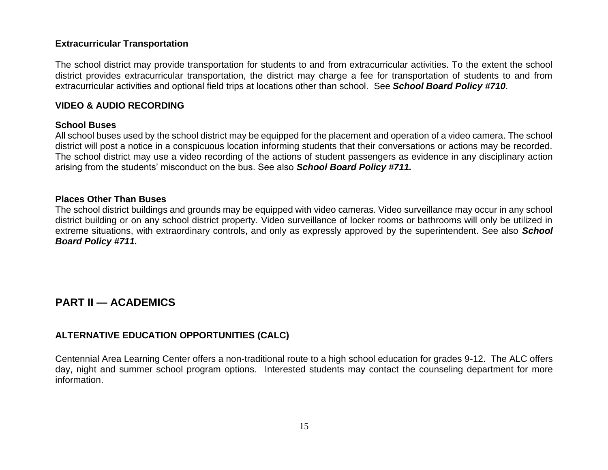#### **Extracurricular Transportation**

The school district may provide transportation for students to and from extracurricular activities. To the extent the school district provides extracurricular transportation, the district may charge a fee for transportation of students to and from extracurricular activities and optional field trips at locations other than school. See *School Board Policy #710*.

#### **VIDEO & AUDIO RECORDING**

#### **School Buses**

All school buses used by the school district may be equipped for the placement and operation of a video camera. The school district will post a notice in a conspicuous location informing students that their conversations or actions may be recorded. The school district may use a video recording of the actions of student passengers as evidence in any disciplinary action arising from the students' misconduct on the bus. See also *School Board Policy #711.*

#### **Places Other Than Buses**

The school district buildings and grounds may be equipped with video cameras. Video surveillance may occur in any school district building or on any school district property. Video surveillance of locker rooms or bathrooms will only be utilized in extreme situations, with extraordinary controls, and only as expressly approved by the superintendent. See also *School Board Policy #711.*

# **PART II — ACADEMICS**

#### **ALTERNATIVE EDUCATION OPPORTUNITIES (CALC)**

Centennial Area Learning Center offers a non-traditional route to a high school education for grades 9-12. The ALC offers day, night and summer school program options. Interested students may contact the counseling department for more information.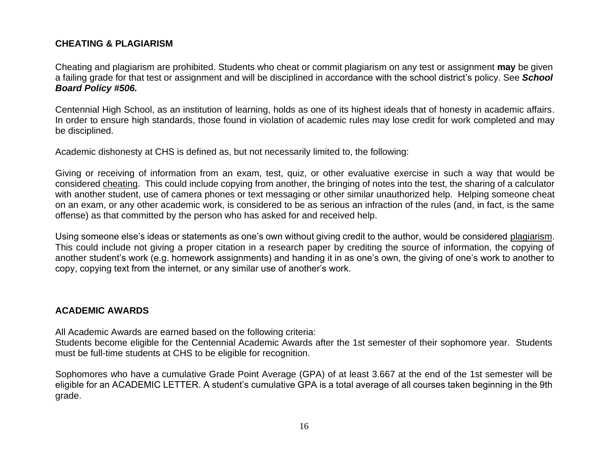### **CHEATING & PLAGIARISM**

Cheating and plagiarism are prohibited. Students who cheat or commit plagiarism on any test or assignment **may** be given a failing grade for that test or assignment and will be disciplined in accordance with the school district's policy. See *School Board Policy #506.*

Centennial High School, as an institution of learning, holds as one of its highest ideals that of honesty in academic affairs. In order to ensure high standards, those found in violation of academic rules may lose credit for work completed and may be disciplined.

Academic dishonesty at CHS is defined as, but not necessarily limited to, the following:

Giving or receiving of information from an exam, test, quiz, or other evaluative exercise in such a way that would be considered cheating. This could include copying from another, the bringing of notes into the test, the sharing of a calculator with another student, use of camera phones or text messaging or other similar unauthorized help. Helping someone cheat on an exam, or any other academic work, is considered to be as serious an infraction of the rules (and, in fact, is the same offense) as that committed by the person who has asked for and received help.

Using someone else's ideas or statements as one's own without giving credit to the author, would be considered plagiarism. This could include not giving a proper citation in a research paper by crediting the source of information, the copying of another student's work (e.g. homework assignments) and handing it in as one's own, the giving of one's work to another to copy, copying text from the internet, or any similar use of another's work.

#### **ACADEMIC AWARDS**

All Academic Awards are earned based on the following criteria:

Students become eligible for the Centennial Academic Awards after the 1st semester of their sophomore year. Students must be full-time students at CHS to be eligible for recognition.

Sophomores who have a cumulative Grade Point Average (GPA) of at least 3.667 at the end of the 1st semester will be eligible for an ACADEMIC LETTER. A student's cumulative GPA is a total average of all courses taken beginning in the 9th grade.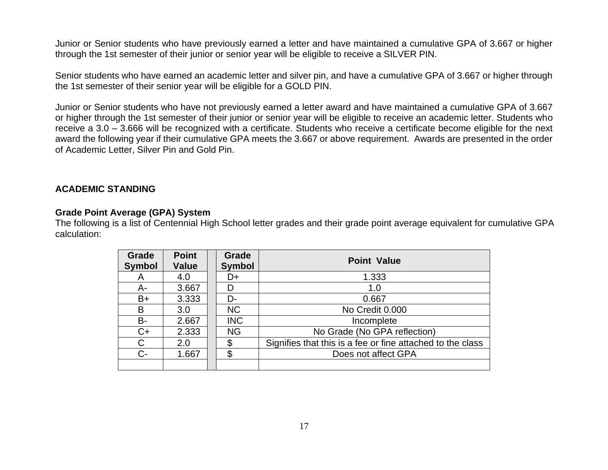Junior or Senior students who have previously earned a letter and have maintained a cumulative GPA of 3.667 or higher through the 1st semester of their junior or senior year will be eligible to receive a SILVER PIN.

Senior students who have earned an academic letter and silver pin, and have a cumulative GPA of 3.667 or higher through the 1st semester of their senior year will be eligible for a GOLD PIN.

Junior or Senior students who have not previously earned a letter award and have maintained a cumulative GPA of 3.667 or higher through the 1st semester of their junior or senior year will be eligible to receive an academic letter. Students who receive a 3.0 – 3.666 will be recognized with a certificate. Students who receive a certificate become eligible for the next award the following year if their cumulative GPA meets the 3.667 or above requirement. Awards are presented in the order of Academic Letter, Silver Pin and Gold Pin.

#### **ACADEMIC STANDING**

#### **Grade Point Average (GPA) System**

The following is a list of Centennial High School letter grades and their grade point average equivalent for cumulative GPA calculation:

| Grade<br><b>Symbol</b> | <b>Point</b><br><b>Value</b> | Grade<br><b>Symbol</b> | <b>Point Value</b>                                         |
|------------------------|------------------------------|------------------------|------------------------------------------------------------|
| A                      | 4.0                          | D+                     | 1.333                                                      |
| А-                     | 3.667                        | D                      | 1.0                                                        |
| $B+$                   | 3.333                        | D-                     | 0.667                                                      |
| B                      | 3.0                          | <b>NC</b>              | No Credit 0.000                                            |
| <b>B-</b>              | 2.667                        | <b>INC</b>             | Incomplete                                                 |
| $C+$                   | 2.333                        | <b>NG</b>              | No Grade (No GPA reflection)                               |
| C                      | 2.0                          | \$                     | Signifies that this is a fee or fine attached to the class |
| $C-$                   | 1.667                        | \$                     | Does not affect GPA                                        |
|                        |                              |                        |                                                            |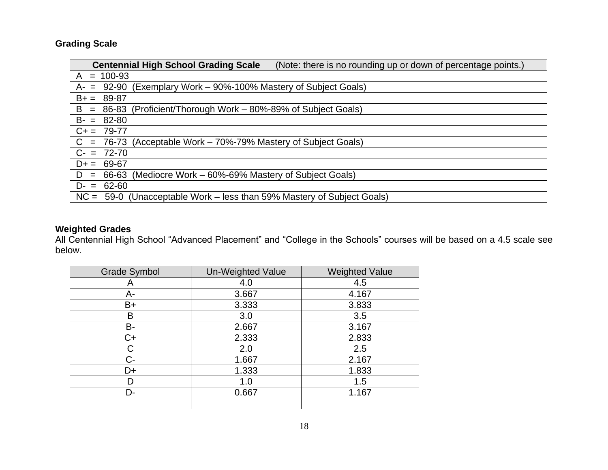# **Grading Scale**

| <b>Centennial High School Grading Scale</b><br>(Note: there is no rounding up or down of percentage points.) |
|--------------------------------------------------------------------------------------------------------------|
| $= 100 - 93$<br>A                                                                                            |
| $= 92-90$ (Exemplary Work $-90\%$ -100% Mastery of Subject Goals)<br>A-                                      |
| $B+ =$<br>89-87                                                                                              |
| (Proficient/Thorough Work – 80%-89% of Subject Goals)<br>B<br>86-83<br>$=$                                   |
| $B - = 82 - 80$                                                                                              |
| $C+= 79-77$                                                                                                  |
| (Acceptable Work – 70%-79% Mastery of Subject Goals)<br>$= 76 - 73$<br>C.                                    |
| $C = 72-70$                                                                                                  |
| $D+ = 69-67$                                                                                                 |
| (Mediocre Work – 60%-69% Mastery of Subject Goals)<br>66-63<br>D<br>$=$                                      |
| $D = 62-60$                                                                                                  |
| (Unacceptable Work – less than 59% Mastery of Subject Goals)<br>$NC = 59-0$                                  |

#### **Weighted Grades**

All Centennial High School "Advanced Placement" and "College in the Schools" courses will be based on a 4.5 scale see below.

| <b>Grade Symbol</b> | Un-Weighted Value | <b>Weighted Value</b> |
|---------------------|-------------------|-----------------------|
| A                   | 4.0               | 4.5                   |
| A-                  | 3.667             | 4.167                 |
| $B+$                | 3.333             | 3.833                 |
| B                   | 3.0               | 3.5                   |
| В-                  | 2.667             | 3.167                 |
| $C+$                | 2.333             | 2.833                 |
| С                   | 2.0               | 2.5                   |
| $C -$               | 1.667             | 2.167                 |
| D+                  | 1.333             | 1.833                 |
|                     | 1.0               | 1.5                   |
| D-                  | 0.667             | 1.167                 |
|                     |                   |                       |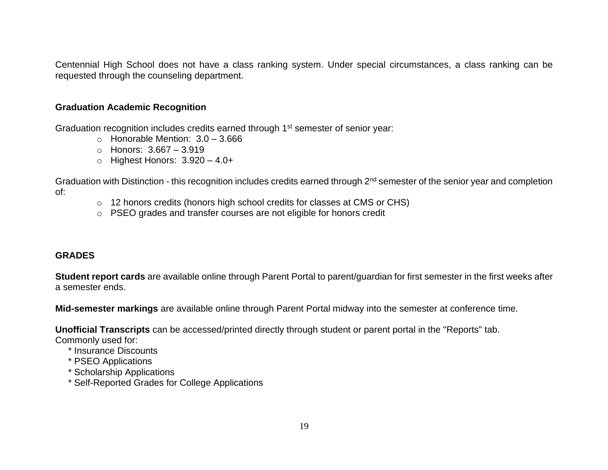Centennial High School does not have a class ranking system. Under special circumstances, a class ranking can be requested through the counseling department.

#### **Graduation Academic Recognition**

Graduation recognition includes credits earned through 1<sup>st</sup> semester of senior year:

- $\circ$  Honorable Mention:  $3.0 3.666$
- o Honors: 3.667 3.919
- $\circ$  Highest Honors:  $3.920 4.0+$

Graduation with Distinction - this recognition includes credits earned through 2<sup>nd</sup> semester of the senior year and completion of:

- o 12 honors credits (honors high school credits for classes at CMS or CHS)
- o PSEO grades and transfer courses are not eligible for honors credit

### **GRADES**

**Student report cards** are available online through Parent Portal to parent/guardian for first semester in the first weeks after a semester ends.

**Mid-semester markings** are available online through Parent Portal midway into the semester at conference time.

**Unofficial Transcripts** can be accessed/printed directly through student or parent portal in the "Reports" tab.

Commonly used for:

- \* Insurance Discounts
- \* PSEO Applications
- \* Scholarship Applications
- \* Self-Reported Grades for College Applications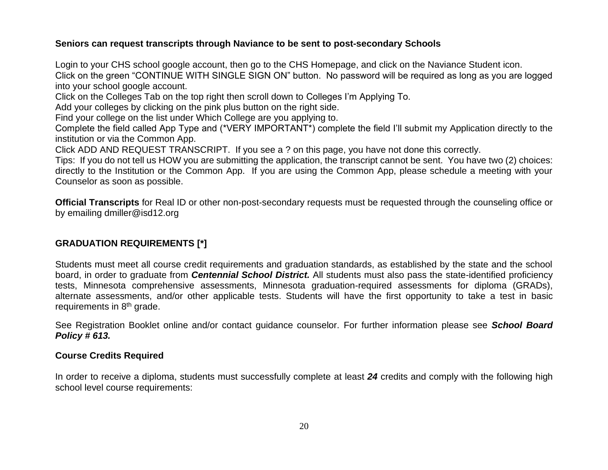### **Seniors can request transcripts through Naviance to be sent to post-secondary Schools**

Login to your CHS school google account, then go to the CHS Homepage, and click on the Naviance Student icon. Click on the green "CONTINUE WITH SINGLE SIGN ON" button. No password will be required as long as you are logged into your school google account.

Click on the Colleges Tab on the top right then scroll down to Colleges I'm Applying To.

Add your colleges by clicking on the pink plus button on the right side.

Find your college on the list under Which College are you applying to.

Complete the field called App Type and (\*VERY IMPORTANT\*) complete the field I'll submit my Application directly to the institution or via the Common App.

Click ADD AND REQUEST TRANSCRIPT. If you see a ? on this page, you have not done this correctly.

Tips: If you do not tell us HOW you are submitting the application, the transcript cannot be sent. You have two (2) choices: directly to the Institution or the Common App. If you are using the Common App, please schedule a meeting with your Counselor as soon as possible.

**Official Transcripts** for Real ID or other non-post-secondary requests must be requested through the counseling office or by emailing dmiller@isd12.org

# **GRADUATION REQUIREMENTS [\*]**

Students must meet all course credit requirements and graduation standards, as established by the state and the school board, in order to graduate from *Centennial School District.* All students must also pass the state-identified proficiency tests, Minnesota comprehensive assessments, Minnesota graduation-required assessments for diploma (GRADs), alternate assessments, and/or other applicable tests. Students will have the first opportunity to take a test in basic requirements in 8<sup>th</sup> grade.

See Registration Booklet online and/or contact guidance counselor. For further information please see *School Board Policy # 613.*

### **Course Credits Required**

In order to receive a diploma, students must successfully complete at least *24* credits and comply with the following high school level course requirements: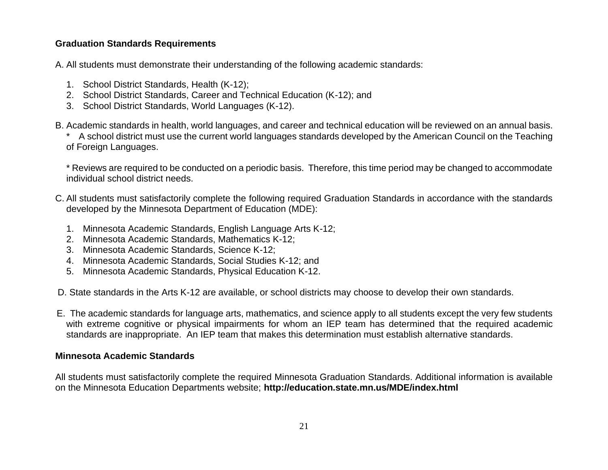### **Graduation Standards Requirements**

A. All students must demonstrate their understanding of the following academic standards:

- 1. School District Standards, Health (K-12);
- 2. School District Standards, Career and Technical Education (K-12); and
- 3. School District Standards, World Languages (K-12).
- B. Academic standards in health, world languages, and career and technical education will be reviewed on an annual basis. \* A school district must use the current world languages standards developed by the American Council on the Teaching of Foreign Languages.

\* Reviews are required to be conducted on a periodic basis. Therefore, this time period may be changed to accommodate individual school district needs.

- C. All students must satisfactorily complete the following required Graduation Standards in accordance with the standards developed by the Minnesota Department of Education (MDE):
	- 1. Minnesota Academic Standards, English Language Arts K-12;
	- 2. Minnesota Academic Standards, Mathematics K-12;
	- 3. Minnesota Academic Standards, Science K-12;
	- 4. Minnesota Academic Standards, Social Studies K-12; and
	- 5. Minnesota Academic Standards, Physical Education K-12.

D. State standards in the Arts K-12 are available, or school districts may choose to develop their own standards.

 E. The academic standards for language arts, mathematics, and science apply to all students except the very few students with extreme cognitive or physical impairments for whom an IEP team has determined that the required academic standards are inappropriate. An IEP team that makes this determination must establish alternative standards.

#### **Minnesota Academic Standards**

All students must satisfactorily complete the required Minnesota Graduation Standards. Additional information is available on the Minnesota Education Departments website; **http://education.state.mn.us/MDE/index.html**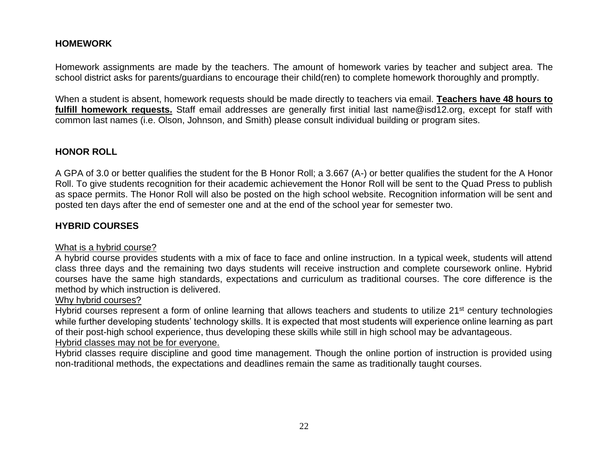### **HOMEWORK**

Homework assignments are made by the teachers. The amount of homework varies by teacher and subject area. The school district asks for parents/guardians to encourage their child(ren) to complete homework thoroughly and promptly.

When a student is absent, homework requests should be made directly to teachers via email. **Teachers have 48 hours to fulfill homework requests.** Staff email addresses are generally first initial last name@isd12.org, except for staff with common last names (i.e. Olson, Johnson, and Smith) please consult individual building or program sites.

#### **HONOR ROLL**

A GPA of 3.0 or better qualifies the student for the B Honor Roll; a 3.667 (A-) or better qualifies the student for the A Honor Roll. To give students recognition for their academic achievement the Honor Roll will be sent to the Quad Press to publish as space permits. The Honor Roll will also be posted on the high school website. Recognition information will be sent and posted ten days after the end of semester one and at the end of the school year for semester two.

### **HYBRID COURSES**

#### What is a hybrid course?

A hybrid course provides students with a mix of face to face and online instruction. In a typical week, students will attend class three days and the remaining two days students will receive instruction and complete coursework online. Hybrid courses have the same high standards, expectations and curriculum as traditional courses. The core difference is the method by which instruction is delivered.

#### Why hybrid courses?

Hybrid courses represent a form of online learning that allows teachers and students to utilize 21<sup>st</sup> century technologies while further developing students' technology skills. It is expected that most students will experience online learning as part of their post-high school experience, thus developing these skills while still in high school may be advantageous.

#### Hybrid classes may not be for everyone.

Hybrid classes require discipline and good time management. Though the online portion of instruction is provided using non-traditional methods, the expectations and deadlines remain the same as traditionally taught courses.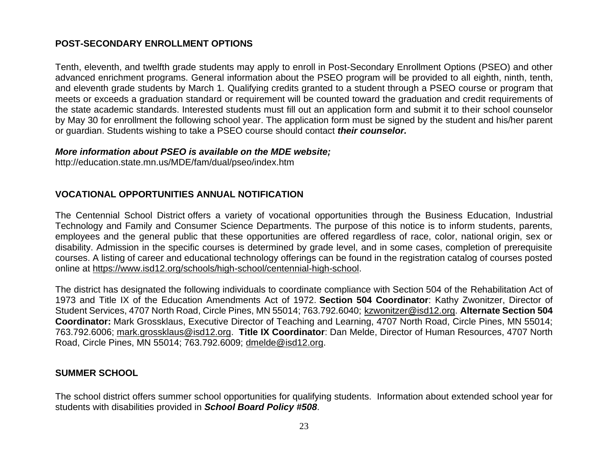### **POST-SECONDARY ENROLLMENT OPTIONS**

Tenth, eleventh, and twelfth grade students may apply to enroll in Post-Secondary Enrollment Options (PSEO) and other advanced enrichment programs. General information about the PSEO program will be provided to all eighth, ninth, tenth, and eleventh grade students by March 1. Qualifying credits granted to a student through a PSEO course or program that meets or exceeds a graduation standard or requirement will be counted toward the graduation and credit requirements of the state academic standards. Interested students must fill out an application form and submit it to their school counselor by May 30 for enrollment the following school year. The application form must be signed by the student and his/her parent or guardian. Students wishing to take a PSEO course should contact *their counselor.* 

#### *More information about PSEO is available on the MDE website;*

http://education.state.mn.us/MDE/fam/dual/pseo/index.htm

### **VOCATIONAL OPPORTUNITIES ANNUAL NOTIFICATION**

The Centennial School District offers a variety of vocational opportunities through the Business Education, Industrial Technology and Family and Consumer Science Departments. The purpose of this notice is to inform students, parents, employees and the general public that these opportunities are offered regardless of race, color, national origin, sex or disability. Admission in the specific courses is determined by grade level, and in some cases, completion of prerequisite courses. A listing of career and educational technology offerings can be found in the registration catalog of courses posted online at [https://www.isd12.org/schools/high-school/centennial-high-school.](https://www.isd12.org/schools/high-school/centennial-high-school)

The district has designated the following individuals to coordinate compliance with Section 504 of the Rehabilitation Act of 1973 and Title IX of the Education Amendments Act of 1972. **Section 504 Coordinator**: Kathy Zwonitzer, Director of Student Services, 4707 North Road, Circle Pines, MN 55014; 763.792.6040; [kzwonitzer@isd12.org.](mailto:kzwonitzer@isd12.org) **Alternate Section 504 Coordinator:** Mark Grossklaus, Executive Director of Teaching and Learning, 4707 North Road, Circle Pines, MN 55014; 763.792.6006; [mark.grossklaus@isd12.org.](mailto:mark.grossklaus@isd12.org) **Title IX Coordinator**: Dan Melde, Director of Human Resources, 4707 North Road, Circle Pines, MN 55014; 763.792.6009; [dmelde@isd12.org.](mailto:dmelde@isd12.org)

#### **SUMMER SCHOOL**

The school district offers summer school opportunities for qualifying students. Information about extended school year for students with disabilities provided in *School Board Policy #508*.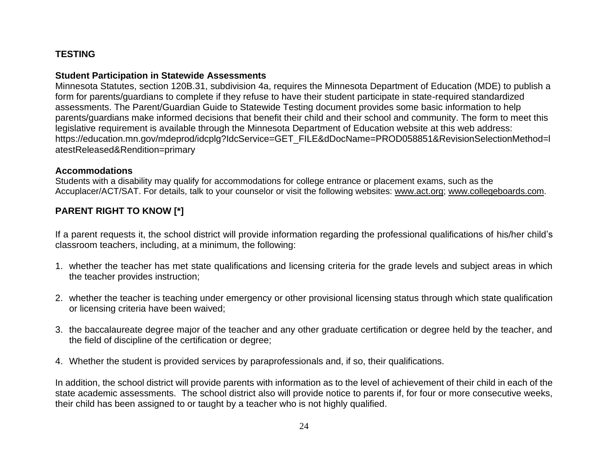## **TESTING**

### **Student Participation in Statewide Assessments**

Minnesota Statutes, section 120B.31, subdivision 4a, requires the Minnesota Department of Education (MDE) to publish a form for parents/guardians to complete if they refuse to have their student participate in state-required standardized assessments. The Parent/Guardian Guide to Statewide Testing document provides some basic information to help parents/guardians make informed decisions that benefit their child and their school and community. The form to meet this legislative requirement is available through the Minnesota Department of Education website at this web address: https://education.mn.gov/mdeprod/idcplg?IdcService=GET\_FILE&dDocName=PROD058851&RevisionSelectionMethod=l atestReleased&Rendition=primary

#### **Accommodations**

Students with a disability may qualify for accommodations for college entrance or placement exams, such as the Accuplacer/ACT/SAT. For details, talk to your counselor or visit the following websites: [www.act.org;](http://www.act.org/) [www.collegeboards.com.](http://www.collegeboards.com/)

# **PARENT RIGHT TO KNOW [\*]**

If a parent requests it, the school district will provide information regarding the professional qualifications of his/her child's classroom teachers, including, at a minimum, the following:

- 1. whether the teacher has met state qualifications and licensing criteria for the grade levels and subject areas in which the teacher provides instruction;
- 2. whether the teacher is teaching under emergency or other provisional licensing status through which state qualification or licensing criteria have been waived;
- 3. the baccalaureate degree major of the teacher and any other graduate certification or degree held by the teacher, and the field of discipline of the certification or degree;
- 4. Whether the student is provided services by paraprofessionals and, if so, their qualifications.

In addition, the school district will provide parents with information as to the level of achievement of their child in each of the state academic assessments. The school district also will provide notice to parents if, for four or more consecutive weeks, their child has been assigned to or taught by a teacher who is not highly qualified.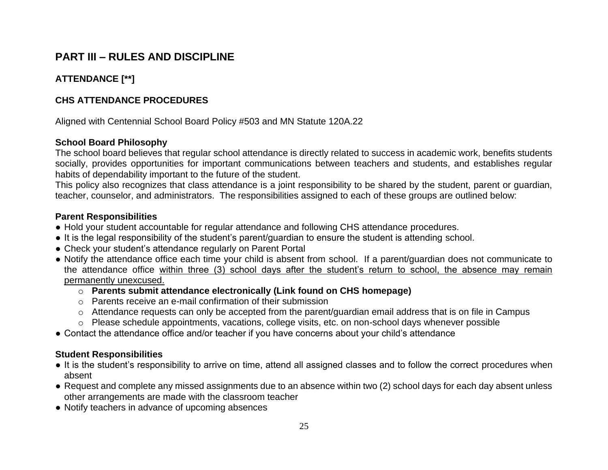# **PART III – RULES AND DISCIPLINE**

# **ATTENDANCE [\*\*]**

### **CHS ATTENDANCE PROCEDURES**

Aligned with Centennial School Board Policy #503 and MN Statute 120A.22

### **School Board Philosophy**

The school board believes that regular school attendance is directly related to success in academic work, benefits students socially, provides opportunities for important communications between teachers and students, and establishes regular habits of dependability important to the future of the student.

This policy also recognizes that class attendance is a joint responsibility to be shared by the student, parent or guardian, teacher, counselor, and administrators. The responsibilities assigned to each of these groups are outlined below:

### **Parent Responsibilities**

- Hold your student accountable for regular attendance and following CHS attendance procedures.
- It is the legal responsibility of the student's parent/guardian to ensure the student is attending school.
- Check your student's attendance regularly on Parent Portal
- Notify the attendance office each time your child is absent from school. If a parent/guardian does not communicate to the attendance office within three (3) school days after the student's return to school, the absence may remain permanently unexcused.
	- o **Parents submit attendance electronically (Link found on CHS homepage)**
	- o Parents receive an e-mail confirmation of their submission
	- o Attendance requests can only be accepted from the parent/guardian email address that is on file in Campus
	- o Please schedule appointments, vacations, college visits, etc. on non-school days whenever possible
- Contact the attendance office and/or teacher if you have concerns about your child's attendance

#### **Student Responsibilities**

- It is the student's responsibility to arrive on time, attend all assigned classes and to follow the correct procedures when absent
- Request and complete any missed assignments due to an absence within two (2) school days for each day absent unless other arrangements are made with the classroom teacher
- Notify teachers in advance of upcoming absences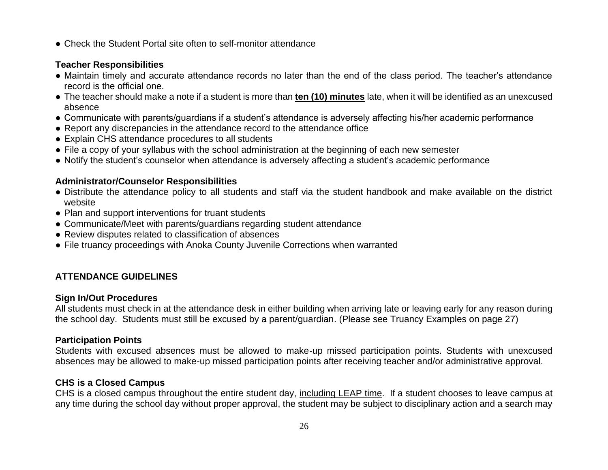● Check the Student Portal site often to self-monitor attendance

### **Teacher Responsibilities**

- Maintain timely and accurate attendance records no later than the end of the class period. The teacher's attendance record is the official one.
- The teacher should make a note if a student is more than **ten (10) minutes** late, when it will be identified as an unexcused absence
- Communicate with parents/guardians if a student's attendance is adversely affecting his/her academic performance
- Report any discrepancies in the attendance record to the attendance office
- Explain CHS attendance procedures to all students
- File a copy of your syllabus with the school administration at the beginning of each new semester
- Notify the student's counselor when attendance is adversely affecting a student's academic performance

# **Administrator/Counselor Responsibilities**

- Distribute the attendance policy to all students and staff via the student handbook and make available on the district website
- Plan and support interventions for truant students
- Communicate/Meet with parents/guardians regarding student attendance
- Review disputes related to classification of absences
- File truancy proceedings with Anoka County Juvenile Corrections when warranted

# **ATTENDANCE GUIDELINES**

# **Sign In/Out Procedures**

All students must check in at the attendance desk in either building when arriving late or leaving early for any reason during the school day. Students must still be excused by a parent/guardian. (Please see Truancy Examples on page 27)

# **Participation Points**

Students with excused absences must be allowed to make-up missed participation points. Students with unexcused absences may be allowed to make-up missed participation points after receiving teacher and/or administrative approval.

# **CHS is a Closed Campus**

CHS is a closed campus throughout the entire student day, including LEAP time. If a student chooses to leave campus at any time during the school day without proper approval, the student may be subject to disciplinary action and a search may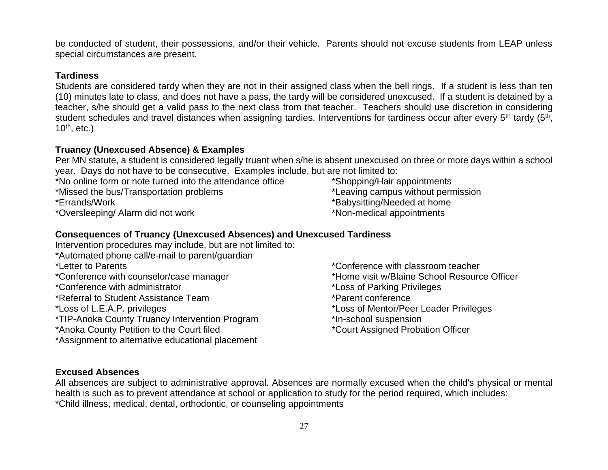be conducted of student, their possessions, and/or their vehicle. Parents should not excuse students from LEAP unless special circumstances are present.

#### **Tardiness**

Students are considered tardy when they are not in their assigned class when the bell rings. If a student is less than ten (10) minutes late to class, and does not have a pass, the tardy will be considered unexcused. If a student is detained by a teacher, s/he should get a valid pass to the next class from that teacher. Teachers should use discretion in considering student schedules and travel distances when assigning tardies. Interventions for tardiness occur after every 5<sup>th</sup> tardy (5<sup>th</sup>, 10<sup>th</sup>, etc.)

## **Truancy (Unexcused Absence) & Examples**

Per MN statute, a student is considered legally truant when s/he is absent unexcused on three or more days within a school year. Days do not have to be consecutive. Examples include, but are not limited to:

- \*No online form or note turned into the attendance office \*Shopping/Hair appointments
- 

- \*Oversleeping/ Alarm did not work \*Non-medical appointments
- 
- \*Missed the bus/Transportation problems \*Leaving campus without permission
- \*Errands/Work \*Babysitting/Needed at home
	-

# **Consequences of Truancy (Unexcused Absences) and Unexcused Tardiness**

- Intervention procedures may include, but are not limited to: \*Automated phone call/e-mail to parent/guardian \*Letter to Parents \*Conference with classroom teacher \*Conference with counselor/case manager \*Home visit w/Blaine School Resource Officer \*Conference with administrator \*Loss of Parking Privileges \*Referral to Student Assistance Team \*Parent conference \*Loss of L.E.A.P. privileges \*Loss of Mentor/Peer Leader Privileges \*TIP-Anoka County Truancy Intervention Program \*In-school suspension \*Anoka County Petition to the Court filed \*Court Assigned Probation Officer \*Assignment to alternative educational placement
	-
	-
	-
	-
	-
	-
	-

### **Excused Absences**

All absences are subject to administrative approval. Absences are normally excused when the child's physical or mental health is such as to prevent attendance at school or application to study for the period required, which includes: \*Child illness, medical, dental, orthodontic, or counseling appointments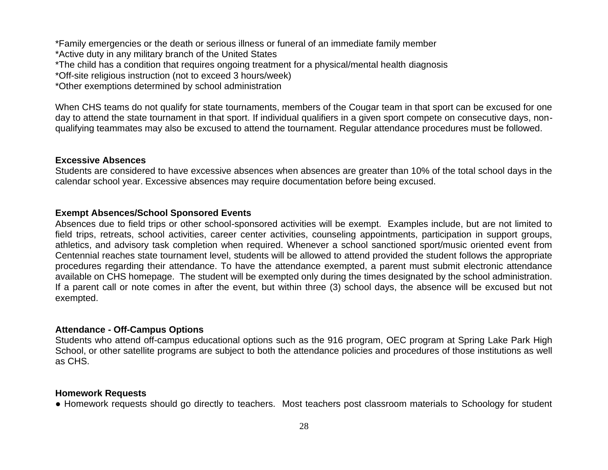\*Family emergencies or the death or serious illness or funeral of an immediate family member \*Active duty in any military branch of the United States \*The child has a condition that requires ongoing treatment for a physical/mental health diagnosis \*Off-site religious instruction (not to exceed 3 hours/week) \*Other exemptions determined by school administration

When CHS teams do not qualify for state tournaments, members of the Cougar team in that sport can be excused for one day to attend the state tournament in that sport. If individual qualifiers in a given sport compete on consecutive days, nonqualifying teammates may also be excused to attend the tournament. Regular attendance procedures must be followed.

#### **Excessive Absences**

Students are considered to have excessive absences when absences are greater than 10% of the total school days in the calendar school year. Excessive absences may require documentation before being excused.

#### **Exempt Absences/School Sponsored Events**

Absences due to field trips or other school-sponsored activities will be exempt. Examples include, but are not limited to field trips, retreats, school activities, career center activities, counseling appointments, participation in support groups, athletics, and advisory task completion when required. Whenever a school sanctioned sport/music oriented event from Centennial reaches state tournament level, students will be allowed to attend provided the student follows the appropriate procedures regarding their attendance. To have the attendance exempted, a parent must submit electronic attendance available on CHS homepage. The student will be exempted only during the times designated by the school administration. If a parent call or note comes in after the event, but within three (3) school days, the absence will be excused but not exempted.

#### **Attendance - Off-Campus Options**

Students who attend off-campus educational options such as the 916 program, OEC program at Spring Lake Park High School, or other satellite programs are subject to both the attendance policies and procedures of those institutions as well as CHS.

#### **Homework Requests**

● Homework requests should go directly to teachers. Most teachers post classroom materials to Schoology for student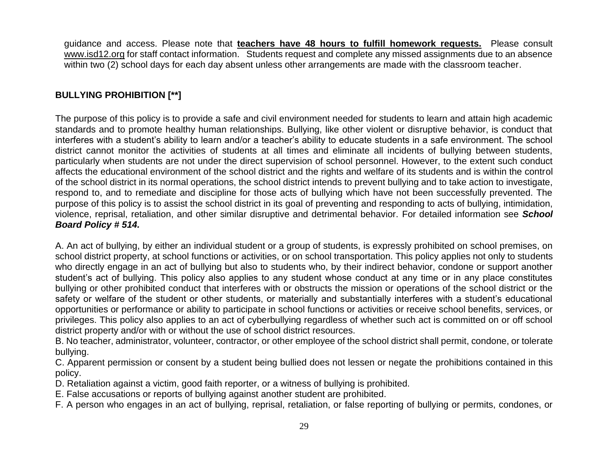guidance and access. Please note that **teachers have 48 hours to fulfill homework requests.** Please consult www.isd12.org for staff contact information. Students request and complete any missed assignments due to an absence within two (2) school days for each day absent unless other arrangements are made with the classroom teacher.

# **BULLYING PROHIBITION [\*\*]**

The purpose of this policy is to provide a safe and civil environment needed for students to learn and attain high academic standards and to promote healthy human relationships. Bullying, like other violent or disruptive behavior, is conduct that interferes with a student's ability to learn and/or a teacher's ability to educate students in a safe environment. The school district cannot monitor the activities of students at all times and eliminate all incidents of bullying between students, particularly when students are not under the direct supervision of school personnel. However, to the extent such conduct affects the educational environment of the school district and the rights and welfare of its students and is within the control of the school district in its normal operations, the school district intends to prevent bullying and to take action to investigate, respond to, and to remediate and discipline for those acts of bullying which have not been successfully prevented. The purpose of this policy is to assist the school district in its goal of preventing and responding to acts of bullying, intimidation, violence, reprisal, retaliation, and other similar disruptive and detrimental behavior. For detailed information see *School Board Policy # 514.*

A. An act of bullying, by either an individual student or a group of students, is expressly prohibited on school premises, on school district property, at school functions or activities, or on school transportation. This policy applies not only to students who directly engage in an act of bullying but also to students who, by their indirect behavior, condone or support another student's act of bullying. This policy also applies to any student whose conduct at any time or in any place constitutes bullying or other prohibited conduct that interferes with or obstructs the mission or operations of the school district or the safety or welfare of the student or other students, or materially and substantially interferes with a student's educational opportunities or performance or ability to participate in school functions or activities or receive school benefits, services, or privileges. This policy also applies to an act of cyberbullying regardless of whether such act is committed on or off school district property and/or with or without the use of school district resources.

B. No teacher, administrator, volunteer, contractor, or other employee of the school district shall permit, condone, or tolerate bullying.

C. Apparent permission or consent by a student being bullied does not lessen or negate the prohibitions contained in this policy.

D. Retaliation against a victim, good faith reporter, or a witness of bullying is prohibited.

E. False accusations or reports of bullying against another student are prohibited.

F. A person who engages in an act of bullying, reprisal, retaliation, or false reporting of bullying or permits, condones, or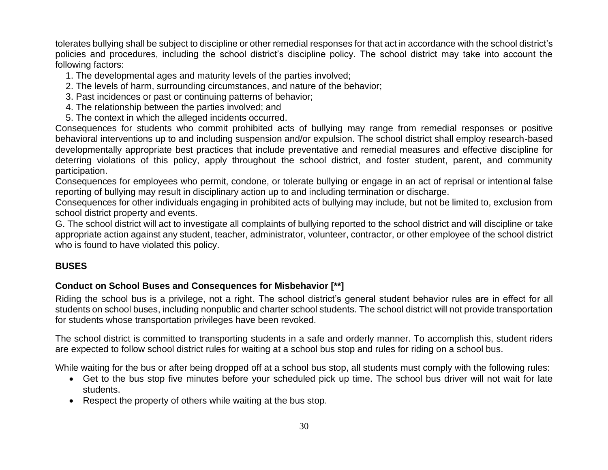tolerates bullying shall be subject to discipline or other remedial responses for that act in accordance with the school district's policies and procedures, including the school district's discipline policy. The school district may take into account the following factors:

- 1. The developmental ages and maturity levels of the parties involved;
- 2. The levels of harm, surrounding circumstances, and nature of the behavior;
- 3. Past incidences or past or continuing patterns of behavior;
- 4. The relationship between the parties involved; and
- 5. The context in which the alleged incidents occurred.

Consequences for students who commit prohibited acts of bullying may range from remedial responses or positive behavioral interventions up to and including suspension and/or expulsion. The school district shall employ research-based developmentally appropriate best practices that include preventative and remedial measures and effective discipline for deterring violations of this policy, apply throughout the school district, and foster student, parent, and community participation.

Consequences for employees who permit, condone, or tolerate bullying or engage in an act of reprisal or intentional false reporting of bullying may result in disciplinary action up to and including termination or discharge.

Consequences for other individuals engaging in prohibited acts of bullying may include, but not be limited to, exclusion from school district property and events.

G. The school district will act to investigate all complaints of bullying reported to the school district and will discipline or take appropriate action against any student, teacher, administrator, volunteer, contractor, or other employee of the school district who is found to have violated this policy.

# **BUSES**

# **Conduct on School Buses and Consequences for Misbehavior [\*\*]**

Riding the school bus is a privilege, not a right. The school district's general student behavior rules are in effect for all students on school buses, including nonpublic and charter school students. The school district will not provide transportation for students whose transportation privileges have been revoked.

The school district is committed to transporting students in a safe and orderly manner. To accomplish this, student riders are expected to follow school district rules for waiting at a school bus stop and rules for riding on a school bus.

While waiting for the bus or after being dropped off at a school bus stop, all students must comply with the following rules:

- Get to the bus stop five minutes before your scheduled pick up time. The school bus driver will not wait for late students.
- Respect the property of others while waiting at the bus stop.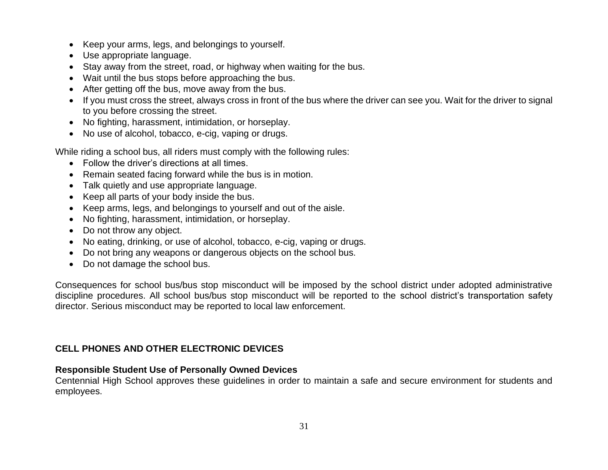- Keep your arms, legs, and belongings to yourself.
- Use appropriate language.
- Stay away from the street, road, or highway when waiting for the bus.
- Wait until the bus stops before approaching the bus.
- After getting off the bus, move away from the bus.
- If you must cross the street, always cross in front of the bus where the driver can see you. Wait for the driver to signal to you before crossing the street.
- No fighting, harassment, intimidation, or horseplay.
- No use of alcohol, tobacco, e-cig, vaping or drugs.

While riding a school bus, all riders must comply with the following rules:

- Follow the driver's directions at all times.
- Remain seated facing forward while the bus is in motion.
- Talk quietly and use appropriate language.
- Keep all parts of your body inside the bus.
- Keep arms, legs, and belongings to yourself and out of the aisle.
- No fighting, harassment, intimidation, or horseplay.
- Do not throw any object.
- No eating, drinking, or use of alcohol, tobacco, e-cig, vaping or drugs.
- Do not bring any weapons or dangerous objects on the school bus.
- Do not damage the school bus.

Consequences for school bus/bus stop misconduct will be imposed by the school district under adopted administrative discipline procedures. All school bus/bus stop misconduct will be reported to the school district's transportation safety director. Serious misconduct may be reported to local law enforcement.

### **CELL PHONES AND OTHER ELECTRONIC DEVICES**

### **Responsible Student Use of Personally Owned Devices**

Centennial High School approves these guidelines in order to maintain a safe and secure environment for students and employees.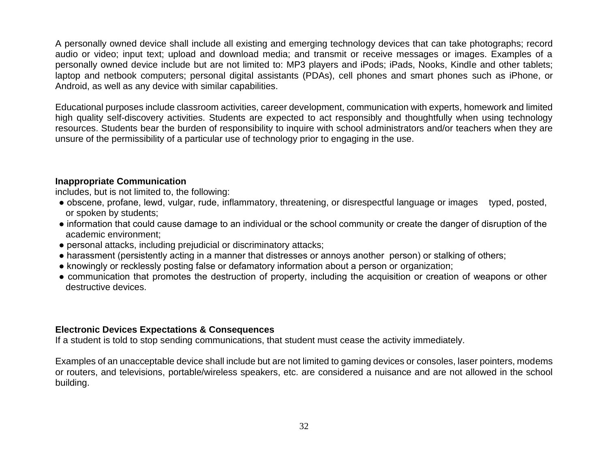A personally owned device shall include all existing and emerging technology devices that can take photographs; record audio or video; input text; upload and download media; and transmit or receive messages or images. Examples of a personally owned device include but are not limited to: MP3 players and iPods; iPads, Nooks, Kindle and other tablets; laptop and netbook computers; personal digital assistants (PDAs), cell phones and smart phones such as iPhone, or Android, as well as any device with similar capabilities.

Educational purposes include classroom activities, career development, communication with experts, homework and limited high quality self-discovery activities. Students are expected to act responsibly and thoughtfully when using technology resources. Students bear the burden of responsibility to inquire with school administrators and/or teachers when they are unsure of the permissibility of a particular use of technology prior to engaging in the use.

#### **Inappropriate Communication**

includes, but is not limited to, the following:

- obscene, profane, lewd, vulgar, rude, inflammatory, threatening, or disrespectful language or images typed, posted, or spoken by students;
- information that could cause damage to an individual or the school community or create the danger of disruption of the academic environment;
- personal attacks, including prejudicial or discriminatory attacks;
- harassment (persistently acting in a manner that distresses or annoys another person) or stalking of others;
- knowingly or recklessly posting false or defamatory information about a person or organization;
- communication that promotes the destruction of property, including the acquisition or creation of weapons or other destructive devices.

#### **Electronic Devices Expectations & Consequences**

If a student is told to stop sending communications, that student must cease the activity immediately.

Examples of an unacceptable device shall include but are not limited to gaming devices or consoles, laser pointers, modems or routers, and televisions, portable/wireless speakers, etc. are considered a nuisance and are not allowed in the school building.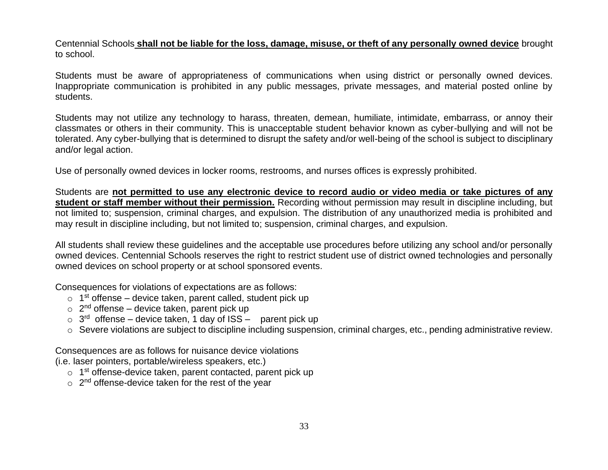Centennial Schools **shall not be liable for the loss, damage, misuse, or theft of any personally owned device** brought to school.

Students must be aware of appropriateness of communications when using district or personally owned devices. Inappropriate communication is prohibited in any public messages, private messages, and material posted online by students.

Students may not utilize any technology to harass, threaten, demean, humiliate, intimidate, embarrass, or annoy their classmates or others in their community. This is unacceptable student behavior known as cyber-bullying and will not be tolerated. Any cyber-bullying that is determined to disrupt the safety and/or well-being of the school is subject to disciplinary and/or legal action.

Use of personally owned devices in locker rooms, restrooms, and nurses offices is expressly prohibited.

Students are **not permitted to use any electronic device to record audio or video media or take pictures of any student or staff member without their permission.** Recording without permission may result in discipline including, but not limited to; suspension, criminal charges, and expulsion. The distribution of any unauthorized media is prohibited and may result in discipline including, but not limited to; suspension, criminal charges, and expulsion.

All students shall review these guidelines and the acceptable use procedures before utilizing any school and/or personally owned devices. Centennial Schools reserves the right to restrict student use of district owned technologies and personally owned devices on school property or at school sponsored events.

Consequences for violations of expectations are as follows:

- $\circ$  1<sup>st</sup> offense device taken, parent called, student pick up
- $\circ$  2<sup>nd</sup> offense device taken, parent pick up
- $\circ$  3<sup>rd</sup> offense device taken, 1 day of ISS parent pick up
- o Severe violations are subject to discipline including suspension, criminal charges, etc., pending administrative review.

Consequences are as follows for nuisance device violations (i.e. laser pointers, portable/wireless speakers, etc.)

- o 1<sup>st</sup> offense-device taken, parent contacted, parent pick up
- $\circ$  2<sup>nd</sup> offense-device taken for the rest of the year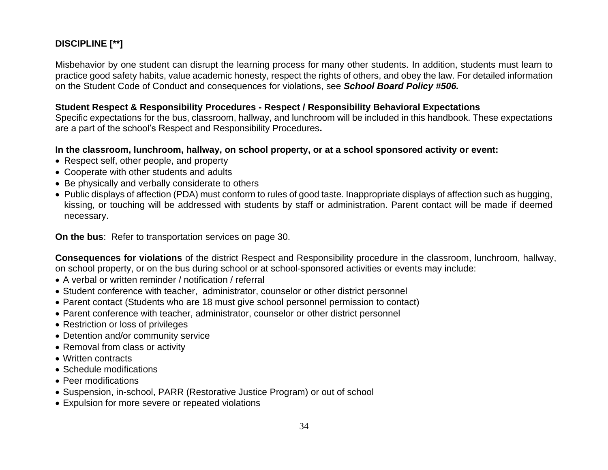# **DISCIPLINE [\*\*]**

Misbehavior by one student can disrupt the learning process for many other students. In addition, students must learn to practice good safety habits, value academic honesty, respect the rights of others, and obey the law. For detailed information on the Student Code of Conduct and consequences for violations, see *School Board Policy #506.*

#### **Student Respect & Responsibility Procedures - Respect / Responsibility Behavioral Expectations**

Specific expectations for the bus, classroom, hallway, and lunchroom will be included in this handbook. These expectations are a part of the school's Respect and Responsibility Procedures**.**

#### **In the classroom, lunchroom, hallway, on school property, or at a school sponsored activity or event:**

- Respect self, other people, and property
- Cooperate with other students and adults
- Be physically and verbally considerate to others
- Public displays of affection (PDA) must conform to rules of good taste. Inappropriate displays of affection such as hugging, kissing, or touching will be addressed with students by staff or administration. Parent contact will be made if deemed necessary.

**On the bus**: Refer to transportation services on page 30.

**Consequences for violations** of the district Respect and Responsibility procedure in the classroom, lunchroom, hallway, on school property, or on the bus during school or at school-sponsored activities or events may include:

- A verbal or written reminder / notification / referral
- Student conference with teacher, administrator, counselor or other district personnel
- Parent contact (Students who are 18 must give school personnel permission to contact)
- Parent conference with teacher, administrator, counselor or other district personnel
- Restriction or loss of privileges
- Detention and/or community service
- Removal from class or activity
- Written contracts
- Schedule modifications
- Peer modifications
- Suspension, in-school, PARR (Restorative Justice Program) or out of school
- Expulsion for more severe or repeated violations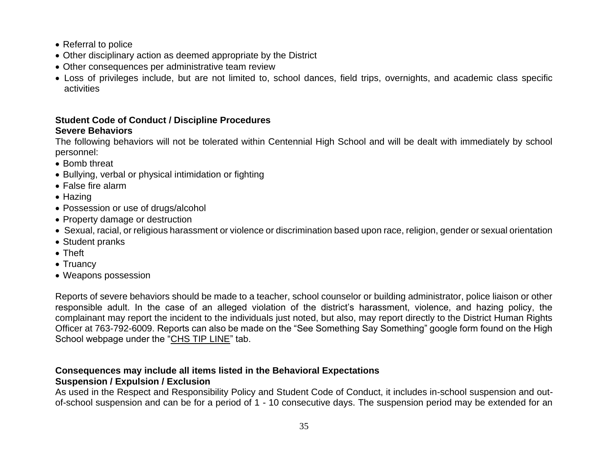- Referral to police
- Other disciplinary action as deemed appropriate by the District
- Other consequences per administrative team review
- Loss of privileges include, but are not limited to, school dances, field trips, overnights, and academic class specific activities

# **Student Code of Conduct / Discipline Procedures Severe Behaviors**

The following behaviors will not be tolerated within Centennial High School and will be dealt with immediately by school personnel:

- Bomb threat
- Bullying, verbal or physical intimidation or fighting
- False fire alarm
- Hazing
- Possession or use of drugs/alcohol
- Property damage or destruction
- Sexual, racial, or religious harassment or violence or discrimination based upon race, religion, gender or sexual orientation
- Student pranks
- Theft
- Truancy
- Weapons possession

Reports of severe behaviors should be made to a teacher, school counselor or building administrator, police liaison or other responsible adult. In the case of an alleged violation of the district's harassment, violence, and hazing policy, the complainant may report the incident to the individuals just noted, but also, may report directly to the District Human Rights Officer at 763-792-6009. Reports can also be made on the "See Something Say Something" google form found on the High School webpage under the ["CHS TIP LINE"](https://www.isd12.org/parents/anti-bullying/chs-tip-line) tab.

# **Consequences may include all items listed in the Behavioral Expectations**

### **Suspension / Expulsion / Exclusion**

As used in the Respect and Responsibility Policy and Student Code of Conduct, it includes in-school suspension and outof-school suspension and can be for a period of 1 - 10 consecutive days. The suspension period may be extended for an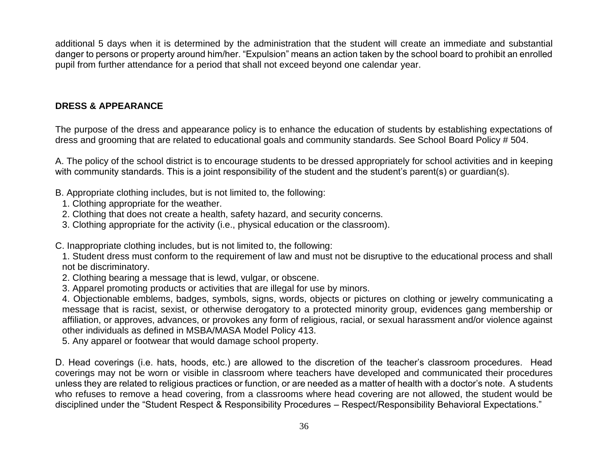additional 5 days when it is determined by the administration that the student will create an immediate and substantial danger to persons or property around him/her. "Expulsion" means an action taken by the school board to prohibit an enrolled pupil from further attendance for a period that shall not exceed beyond one calendar year.

#### **DRESS & APPEARANCE**

The purpose of the dress and appearance policy is to enhance the education of students by establishing expectations of dress and grooming that are related to educational goals and community standards. See School Board Policy # 504.

A. The policy of the school district is to encourage students to be dressed appropriately for school activities and in keeping with community standards. This is a joint responsibility of the student and the student's parent(s) or guardian(s).

- B. Appropriate clothing includes, but is not limited to, the following:
	- 1. Clothing appropriate for the weather.
- 2. Clothing that does not create a health, safety hazard, and security concerns.
- 3. Clothing appropriate for the activity (i.e., physical education or the classroom).

C. Inappropriate clothing includes, but is not limited to, the following:

1. Student dress must conform to the requirement of law and must not be disruptive to the educational process and shall not be discriminatory.

- 2. Clothing bearing a message that is lewd, vulgar, or obscene.
- 3. Apparel promoting products or activities that are illegal for use by minors.

4. Objectionable emblems, badges, symbols, signs, words, objects or pictures on clothing or jewelry communicating a message that is racist, sexist, or otherwise derogatory to a protected minority group, evidences gang membership or affiliation, or approves, advances, or provokes any form of religious, racial, or sexual harassment and/or violence against other individuals as defined in MSBA/MASA Model Policy 413.

5. Any apparel or footwear that would damage school property.

D. Head coverings (i.e. hats, hoods, etc.) are allowed to the discretion of the teacher's classroom procedures. Head coverings may not be worn or visible in classroom where teachers have developed and communicated their procedures unless they are related to religious practices or function, or are needed as a matter of health with a doctor's note. A students who refuses to remove a head covering, from a classrooms where head covering are not allowed, the student would be disciplined under the "Student Respect & Responsibility Procedures – Respect/Responsibility Behavioral Expectations."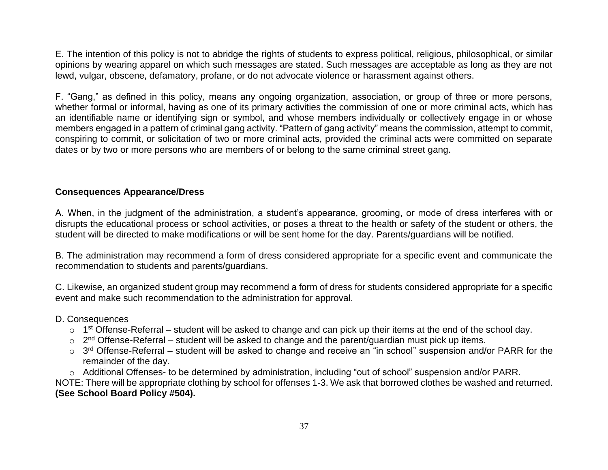E. The intention of this policy is not to abridge the rights of students to express political, religious, philosophical, or similar opinions by wearing apparel on which such messages are stated. Such messages are acceptable as long as they are not lewd, vulgar, obscene, defamatory, profane, or do not advocate violence or harassment against others.

F. "Gang," as defined in this policy, means any ongoing organization, association, or group of three or more persons, whether formal or informal, having as one of its primary activities the commission of one or more criminal acts, which has an identifiable name or identifying sign or symbol, and whose members individually or collectively engage in or whose members engaged in a pattern of criminal gang activity. "Pattern of gang activity" means the commission, attempt to commit, conspiring to commit, or solicitation of two or more criminal acts, provided the criminal acts were committed on separate dates or by two or more persons who are members of or belong to the same criminal street gang.

### **Consequences Appearance/Dress**

A. When, in the judgment of the administration, a student's appearance, grooming, or mode of dress interferes with or disrupts the educational process or school activities, or poses a threat to the health or safety of the student or others, the student will be directed to make modifications or will be sent home for the day. Parents/guardians will be notified.

B. The administration may recommend a form of dress considered appropriate for a specific event and communicate the recommendation to students and parents/guardians.

C. Likewise, an organized student group may recommend a form of dress for students considered appropriate for a specific event and make such recommendation to the administration for approval.

#### D. Consequences

- $\circ$  1<sup>st</sup> Offense-Referral student will be asked to change and can pick up their items at the end of the school day.
- $\circ$  2<sup>nd</sup> Offense-Referral student will be asked to change and the parent/guardian must pick up items.
- $\circ$  3<sup>rd</sup> Offense-Referral student will be asked to change and receive an "in school" suspension and/or PARR for the remainder of the day.

o Additional Offenses- to be determined by administration, including "out of school" suspension and/or PARR.

NOTE: There will be appropriate clothing by school for offenses 1-3. We ask that borrowed clothes be washed and returned. **(See School Board Policy #504).**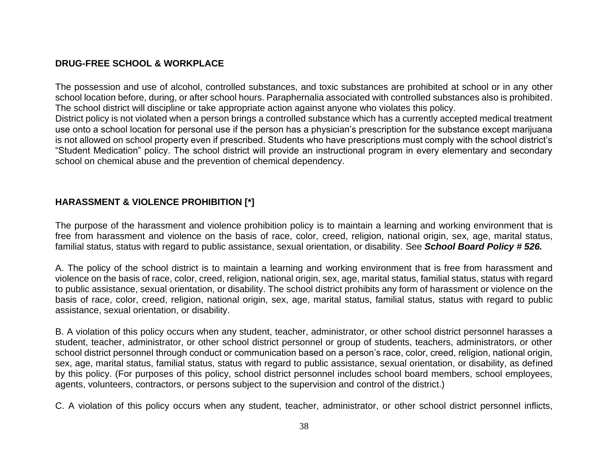#### **DRUG-FREE SCHOOL & WORKPLACE**

The possession and use of alcohol, controlled substances, and toxic substances are prohibited at school or in any other school location before, during, or after school hours. Paraphernalia associated with controlled substances also is prohibited. The school district will discipline or take appropriate action against anyone who violates this policy.

District policy is not violated when a person brings a controlled substance which has a currently accepted medical treatment use onto a school location for personal use if the person has a physician's prescription for the substance except marijuana is not allowed on school property even if prescribed. Students who have prescriptions must comply with the school district's "Student Medication" policy. The school district will provide an instructional program in every elementary and secondary school on chemical abuse and the prevention of chemical dependency.

### **HARASSMENT & VIOLENCE PROHIBITION [\*]**

The purpose of the harassment and violence prohibition policy is to maintain a learning and working environment that is free from harassment and violence on the basis of race, color, creed, religion, national origin, sex, age, marital status, familial status, status with regard to public assistance, sexual orientation, or disability. See *School Board Policy # 526.*

A. The policy of the school district is to maintain a learning and working environment that is free from harassment and violence on the basis of race, color, creed, religion, national origin, sex, age, marital status, familial status, status with regard to public assistance, sexual orientation, or disability. The school district prohibits any form of harassment or violence on the basis of race, color, creed, religion, national origin, sex, age, marital status, familial status, status with regard to public assistance, sexual orientation, or disability.

B. A violation of this policy occurs when any student, teacher, administrator, or other school district personnel harasses a student, teacher, administrator, or other school district personnel or group of students, teachers, administrators, or other school district personnel through conduct or communication based on a person's race, color, creed, religion, national origin, sex, age, marital status, familial status, status with regard to public assistance, sexual orientation, or disability, as defined by this policy. (For purposes of this policy, school district personnel includes school board members, school employees, agents, volunteers, contractors, or persons subject to the supervision and control of the district.)

C. A violation of this policy occurs when any student, teacher, administrator, or other school district personnel inflicts,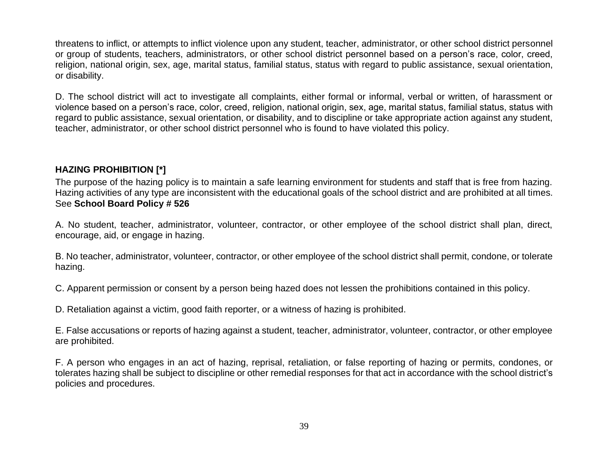threatens to inflict, or attempts to inflict violence upon any student, teacher, administrator, or other school district personnel or group of students, teachers, administrators, or other school district personnel based on a person's race, color, creed, religion, national origin, sex, age, marital status, familial status, status with regard to public assistance, sexual orientation, or disability.

D. The school district will act to investigate all complaints, either formal or informal, verbal or written, of harassment or violence based on a person's race, color, creed, religion, national origin, sex, age, marital status, familial status, status with regard to public assistance, sexual orientation, or disability, and to discipline or take appropriate action against any student, teacher, administrator, or other school district personnel who is found to have violated this policy.

# **HAZING PROHIBITION [\*]**

The purpose of the hazing policy is to maintain a safe learning environment for students and staff that is free from hazing. Hazing activities of any type are inconsistent with the educational goals of the school district and are prohibited at all times. See **School Board Policy # 526**

A. No student, teacher, administrator, volunteer, contractor, or other employee of the school district shall plan, direct, encourage, aid, or engage in hazing.

B. No teacher, administrator, volunteer, contractor, or other employee of the school district shall permit, condone, or tolerate hazing.

C. Apparent permission or consent by a person being hazed does not lessen the prohibitions contained in this policy.

D. Retaliation against a victim, good faith reporter, or a witness of hazing is prohibited.

E. False accusations or reports of hazing against a student, teacher, administrator, volunteer, contractor, or other employee are prohibited.

F. A person who engages in an act of hazing, reprisal, retaliation, or false reporting of hazing or permits, condones, or tolerates hazing shall be subject to discipline or other remedial responses for that act in accordance with the school district's policies and procedures.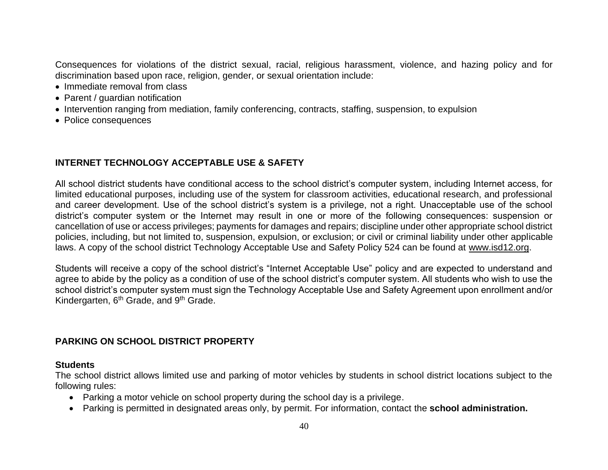Consequences for violations of the district sexual, racial, religious harassment, violence, and hazing policy and for discrimination based upon race, religion, gender, or sexual orientation include:

- Immediate removal from class
- Parent / quardian notification
- Intervention ranging from mediation, family conferencing, contracts, staffing, suspension, to expulsion
- Police consequences

#### **INTERNET TECHNOLOGY ACCEPTABLE USE & SAFETY**

All school district students have conditional access to the school district's computer system, including Internet access, for limited educational purposes, including use of the system for classroom activities, educational research, and professional and career development. Use of the school district's system is a privilege, not a right. Unacceptable use of the school district's computer system or the Internet may result in one or more of the following consequences: suspension or cancellation of use or access privileges; payments for damages and repairs; discipline under other appropriate school district policies, including, but not limited to, suspension, expulsion, or exclusion; or civil or criminal liability under other applicable laws. A copy of the school district Technology Acceptable Use and Safety Policy 524 can be found at [www.isd12.org.](http://www.isd12.org/)

Students will receive a copy of the school district's "Internet Acceptable Use" policy and are expected to understand and agree to abide by the policy as a condition of use of the school district's computer system. All students who wish to use the school district's computer system must sign the Technology Acceptable Use and Safety Agreement upon enrollment and/or Kindergarten, 6<sup>th</sup> Grade, and 9<sup>th</sup> Grade.

#### **PARKING ON SCHOOL DISTRICT PROPERTY**

#### **Students**

The school district allows limited use and parking of motor vehicles by students in school district locations subject to the following rules:

- Parking a motor vehicle on school property during the school day is a privilege.
- Parking is permitted in designated areas only, by permit. For information, contact the **school administration.**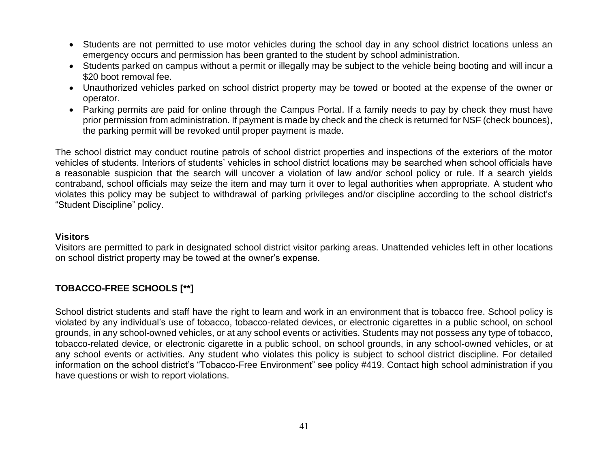- Students are not permitted to use motor vehicles during the school day in any school district locations unless an emergency occurs and permission has been granted to the student by school administration.
- Students parked on campus without a permit or illegally may be subject to the vehicle being booting and will incur a \$20 boot removal fee.
- Unauthorized vehicles parked on school district property may be towed or booted at the expense of the owner or operator.
- Parking permits are paid for online through the Campus Portal. If a family needs to pay by check they must have prior permission from administration. If payment is made by check and the check is returned for NSF (check bounces), the parking permit will be revoked until proper payment is made.

The school district may conduct routine patrols of school district properties and inspections of the exteriors of the motor vehicles of students. Interiors of students' vehicles in school district locations may be searched when school officials have a reasonable suspicion that the search will uncover a violation of law and/or school policy or rule. If a search yields contraband, school officials may seize the item and may turn it over to legal authorities when appropriate. A student who violates this policy may be subject to withdrawal of parking privileges and/or discipline according to the school district's "Student Discipline" policy.

#### **Visitors**

Visitors are permitted to park in designated school district visitor parking areas. Unattended vehicles left in other locations on school district property may be towed at the owner's expense.

# **TOBACCO-FREE SCHOOLS [\*\*]**

School district students and staff have the right to learn and work in an environment that is tobacco free. School policy is violated by any individual's use of tobacco, tobacco-related devices, or electronic cigarettes in a public school, on school grounds, in any school-owned vehicles, or at any school events or activities. Students may not possess any type of tobacco, tobacco-related device, or electronic cigarette in a public school, on school grounds, in any school-owned vehicles, or at any school events or activities. Any student who violates this policy is subject to school district discipline. For detailed information on the school district's "Tobacco-Free Environment" see policy #419. Contact high school administration if you have questions or wish to report violations.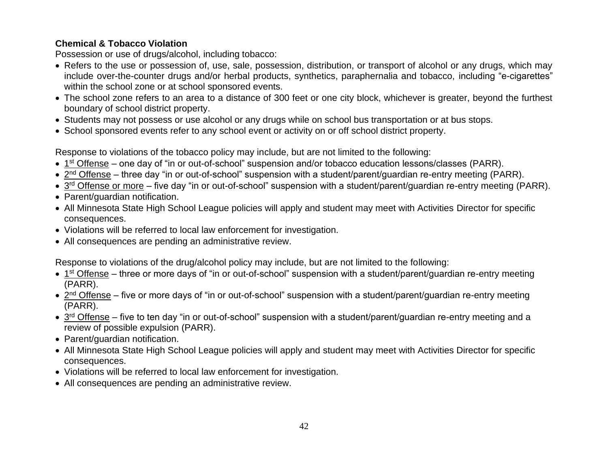# **Chemical & Tobacco Violation**

Possession or use of drugs/alcohol, including tobacco:

- Refers to the use or possession of, use, sale, possession, distribution, or transport of alcohol or any drugs, which may include over-the-counter drugs and/or herbal products, synthetics, paraphernalia and tobacco, including "e-cigarettes" within the school zone or at school sponsored events.
- The school zone refers to an area to a distance of 300 feet or one city block, whichever is greater, beyond the furthest boundary of school district property.
- Students may not possess or use alcohol or any drugs while on school bus transportation or at bus stops.
- School sponsored events refer to any school event or activity on or off school district property.

Response to violations of the tobacco policy may include, but are not limited to the following:

- 1<sup>st</sup> Offense one day of "in or out-of-school" suspension and/or tobacco education lessons/classes (PARR).
- 2<sup>nd</sup> Offense three day "in or out-of-school" suspension with a student/parent/guardian re-entry meeting (PARR).
- 3<sup>rd</sup> Offense or more five day "in or out-of-school" suspension with a student/parent/guardian re-entry meeting (PARR).
- Parent/guardian notification.
- All Minnesota State High School League policies will apply and student may meet with Activities Director for specific consequences.
- Violations will be referred to local law enforcement for investigation.
- All consequences are pending an administrative review.

Response to violations of the drug/alcohol policy may include, but are not limited to the following:

- 1<sup>st</sup> Offense three or more days of "in or out-of-school" suspension with a student/parent/guardian re-entry meeting (PARR).
- 2<sup>nd</sup> Offense five or more days of "in or out-of-school" suspension with a student/parent/guardian re-entry meeting (PARR).
- 3<sup>rd</sup> Offense five to ten day "in or out-of-school" suspension with a student/parent/guardian re-entry meeting and a review of possible expulsion (PARR).
- Parent/guardian notification.
- All Minnesota State High School League policies will apply and student may meet with Activities Director for specific consequences.
- Violations will be referred to local law enforcement for investigation.
- All consequences are pending an administrative review.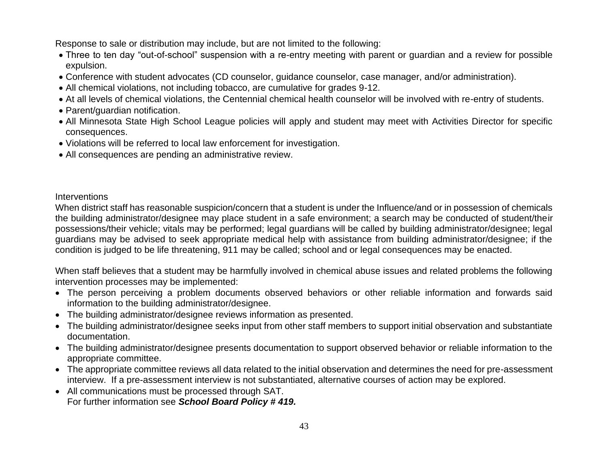Response to sale or distribution may include, but are not limited to the following:

- Three to ten day "out-of-school" suspension with a re-entry meeting with parent or guardian and a review for possible expulsion.
- Conference with student advocates (CD counselor, guidance counselor, case manager, and/or administration).
- All chemical violations, not including tobacco, are cumulative for grades 9-12.
- At all levels of chemical violations, the Centennial chemical health counselor will be involved with re-entry of students.
- Parent/guardian notification.
- All Minnesota State High School League policies will apply and student may meet with Activities Director for specific consequences.
- Violations will be referred to local law enforcement for investigation.
- All consequences are pending an administrative review.

#### **Interventions**

When district staff has reasonable suspicion/concern that a student is under the Influence/and or in possession of chemicals the building administrator/designee may place student in a safe environment; a search may be conducted of student/their possessions/their vehicle; vitals may be performed; legal guardians will be called by building administrator/designee; legal guardians may be advised to seek appropriate medical help with assistance from building administrator/designee; if the condition is judged to be life threatening, 911 may be called; school and or legal consequences may be enacted.

When staff believes that a student may be harmfully involved in chemical abuse issues and related problems the following intervention processes may be implemented:

- The person perceiving a problem documents observed behaviors or other reliable information and forwards said information to the building administrator/designee.
- The building administrator/designee reviews information as presented.
- The building administrator/designee seeks input from other staff members to support initial observation and substantiate documentation.
- The building administrator/designee presents documentation to support observed behavior or reliable information to the appropriate committee.
- The appropriate committee reviews all data related to the initial observation and determines the need for pre-assessment interview. If a pre-assessment interview is not substantiated, alternative courses of action may be explored.
- All communications must be processed through SAT. For further information see *School Board Policy # 419.*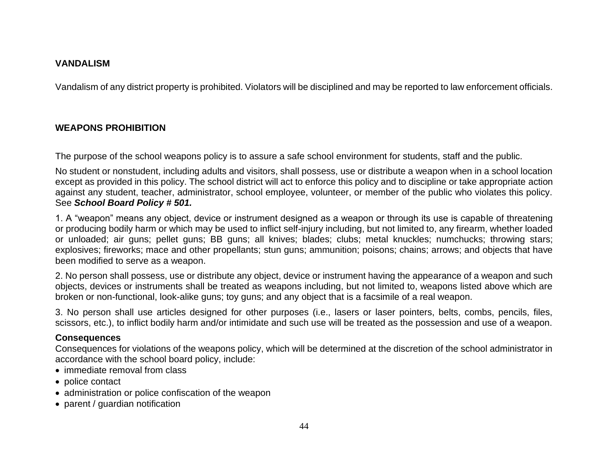#### **VANDALISM**

Vandalism of any district property is prohibited. Violators will be disciplined and may be reported to law enforcement officials.

# **WEAPONS PROHIBITION**

The purpose of the school weapons policy is to assure a safe school environment for students, staff and the public.

No student or nonstudent, including adults and visitors, shall possess, use or distribute a weapon when in a school location except as provided in this policy. The school district will act to enforce this policy and to discipline or take appropriate action against any student, teacher, administrator, school employee, volunteer, or member of the public who violates this policy. See *School Board Policy # 501.*

1. A "weapon" means any object, device or instrument designed as a weapon or through its use is capable of threatening or producing bodily harm or which may be used to inflict self-injury including, but not limited to, any firearm, whether loaded or unloaded; air guns; pellet guns; BB guns; all knives; blades; clubs; metal knuckles; numchucks; throwing stars; explosives; fireworks; mace and other propellants; stun guns; ammunition; poisons; chains; arrows; and objects that have been modified to serve as a weapon.

2. No person shall possess, use or distribute any object, device or instrument having the appearance of a weapon and such objects, devices or instruments shall be treated as weapons including, but not limited to, weapons listed above which are broken or non-functional, look-alike guns; toy guns; and any object that is a facsimile of a real weapon.

3. No person shall use articles designed for other purposes (i.e., lasers or laser pointers, belts, combs, pencils, files, scissors, etc.), to inflict bodily harm and/or intimidate and such use will be treated as the possession and use of a weapon.

### **Consequences**

Consequences for violations of the weapons policy, which will be determined at the discretion of the school administrator in accordance with the school board policy, include:

- immediate removal from class
- police contact
- administration or police confiscation of the weapon
- parent / quardian notification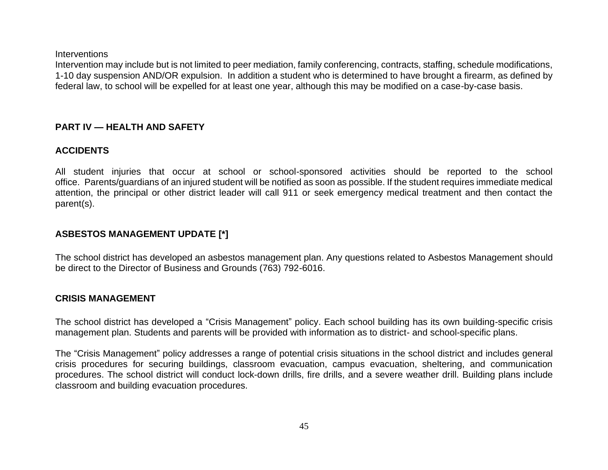**Interventions** 

Intervention may include but is not limited to peer mediation, family conferencing, contracts, staffing, schedule modifications, 1-10 day suspension AND/OR expulsion. In addition a student who is determined to have brought a firearm, as defined by federal law, to school will be expelled for at least one year, although this may be modified on a case-by-case basis.

### **PART IV — HEALTH AND SAFETY**

### **ACCIDENTS**

All student injuries that occur at school or school-sponsored activities should be reported to the school office. Parents/guardians of an injured student will be notified as soon as possible. If the student requires immediate medical attention, the principal or other district leader will call 911 or seek emergency medical treatment and then contact the parent(s).

## **ASBESTOS MANAGEMENT UPDATE [\*]**

The school district has developed an asbestos management plan. Any questions related to Asbestos Management should be direct to the Director of Business and Grounds (763) 792-6016.

### **CRISIS MANAGEMENT**

The school district has developed a "Crisis Management" policy. Each school building has its own building-specific crisis management plan. Students and parents will be provided with information as to district- and school-specific plans.

The "Crisis Management" policy addresses a range of potential crisis situations in the school district and includes general crisis procedures for securing buildings, classroom evacuation, campus evacuation, sheltering, and communication procedures. The school district will conduct lock-down drills, fire drills, and a severe weather drill. Building plans include classroom and building evacuation procedures.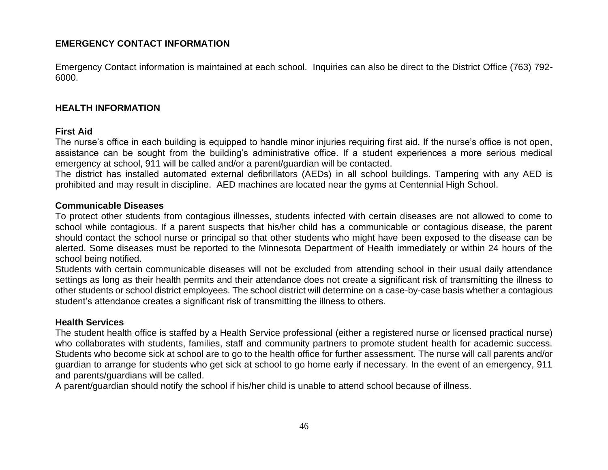### **EMERGENCY CONTACT INFORMATION**

Emergency Contact information is maintained at each school. Inquiries can also be direct to the District Office (763) 792- 6000.

#### **HEALTH INFORMATION**

#### **First Aid**

The nurse's office in each building is equipped to handle minor injuries requiring first aid. If the nurse's office is not open, assistance can be sought from the building's administrative office. If a student experiences a more serious medical emergency at school, 911 will be called and/or a parent/guardian will be contacted.

The district has installed automated external defibrillators (AEDs) in all school buildings. Tampering with any AED is prohibited and may result in discipline. AED machines are located near the gyms at Centennial High School.

#### **Communicable Diseases**

To protect other students from contagious illnesses, students infected with certain diseases are not allowed to come to school while contagious. If a parent suspects that his/her child has a communicable or contagious disease, the parent should contact the school nurse or principal so that other students who might have been exposed to the disease can be alerted. Some diseases must be reported to the Minnesota Department of Health immediately or within 24 hours of the school being notified.

Students with certain communicable diseases will not be excluded from attending school in their usual daily attendance settings as long as their health permits and their attendance does not create a significant risk of transmitting the illness to other students or school district employees. The school district will determine on a case-by-case basis whether a contagious student's attendance creates a significant risk of transmitting the illness to others.

#### **Health Services**

The student health office is staffed by a Health Service professional (either a registered nurse or licensed practical nurse) who collaborates with students, families, staff and community partners to promote student health for academic success. Students who become sick at school are to go to the health office for further assessment. The nurse will call parents and/or guardian to arrange for students who get sick at school to go home early if necessary. In the event of an emergency, 911 and parents/guardians will be called.

A parent/guardian should notify the school if his/her child is unable to attend school because of illness.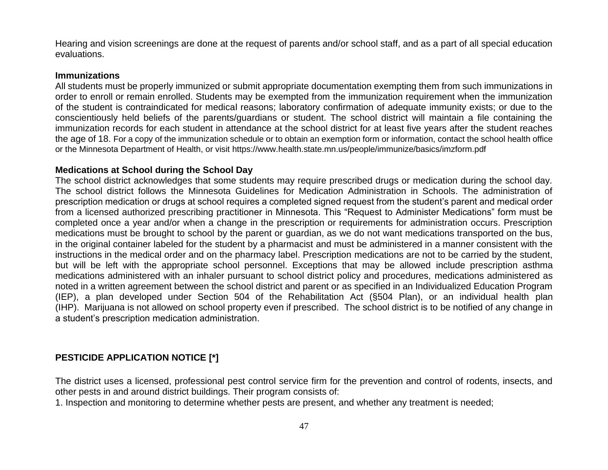Hearing and vision screenings are done at the request of parents and/or school staff, and as a part of all special education evaluations.

#### **Immunizations**

All students must be properly immunized or submit appropriate documentation exempting them from such immunizations in order to enroll or remain enrolled. Students may be exempted from the immunization requirement when the immunization of the student is contraindicated for medical reasons; laboratory confirmation of adequate immunity exists; or due to the conscientiously held beliefs of the parents/guardians or student. The school district will maintain a file containing the immunization records for each student in attendance at the school district for at least five years after the student reaches the age of 18. For a copy of the immunization schedule or to obtain an exemption form or information, contact the school health office or the Minnesota Department of Health, or visit https://www.health.state.mn.us/people/immunize/basics/imzform.pdf

#### **Medications at School during the School Day**

The school district acknowledges that some students may require prescribed drugs or medication during the school day. The school district follows the Minnesota Guidelines for Medication Administration in Schools. The administration of prescription medication or drugs at school requires a completed signed request from the student's parent and medical order from a licensed authorized prescribing practitioner in Minnesota. This "Request to Administer Medications" form must be completed once a year and/or when a change in the prescription or requirements for administration occurs. Prescription medications must be brought to school by the parent or guardian, as we do not want medications transported on the bus, in the original container labeled for the student by a pharmacist and must be administered in a manner consistent with the instructions in the medical order and on the pharmacy label. Prescription medications are not to be carried by the student, but will be left with the appropriate school personnel. Exceptions that may be allowed include prescription asthma medications administered with an inhaler pursuant to school district policy and procedures, medications administered as noted in a written agreement between the school district and parent or as specified in an Individualized Education Program (IEP), a plan developed under Section 504 of the Rehabilitation Act (§504 Plan), or an individual health plan (IHP). Marijuana is not allowed on school property even if prescribed. The school district is to be notified of any change in a student's prescription medication administration.

### **PESTICIDE APPLICATION NOTICE [\*]**

The district uses a licensed, professional pest control service firm for the prevention and control of rodents, insects, and other pests in and around district buildings. Their program consists of:

1. Inspection and monitoring to determine whether pests are present, and whether any treatment is needed;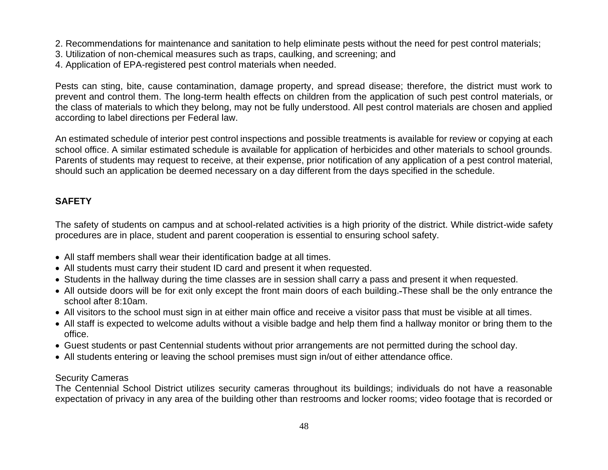- 2. Recommendations for maintenance and sanitation to help eliminate pests without the need for pest control materials;
- 3. Utilization of non-chemical measures such as traps, caulking, and screening; and
- 4. Application of EPA-registered pest control materials when needed.

Pests can sting, bite, cause contamination, damage property, and spread disease; therefore, the district must work to prevent and control them. The long-term health effects on children from the application of such pest control materials, or the class of materials to which they belong, may not be fully understood. All pest control materials are chosen and applied according to label directions per Federal law.

An estimated schedule of interior pest control inspections and possible treatments is available for review or copying at each school office. A similar estimated schedule is available for application of herbicides and other materials to school grounds. Parents of students may request to receive, at their expense, prior notification of any application of a pest control material, should such an application be deemed necessary on a day different from the days specified in the schedule.

# **SAFETY**

The safety of students on campus and at school-related activities is a high priority of the district. While district-wide safety procedures are in place, student and parent cooperation is essential to ensuring school safety.

- All staff members shall wear their identification badge at all times.
- All students must carry their student ID card and present it when requested.
- Students in the hallway during the time classes are in session shall carry a pass and present it when requested.
- All outside doors will be for exit only except the front main doors of each building. These shall be the only entrance the school after 8:10am.
- All visitors to the school must sign in at either main office and receive a visitor pass that must be visible at all times.
- All staff is expected to welcome adults without a visible badge and help them find a hallway monitor or bring them to the office.
- Guest students or past Centennial students without prior arrangements are not permitted during the school day.
- All students entering or leaving the school premises must sign in/out of either attendance office.

### Security Cameras

The Centennial School District utilizes security cameras throughout its buildings; individuals do not have a reasonable expectation of privacy in any area of the building other than restrooms and locker rooms; video footage that is recorded or